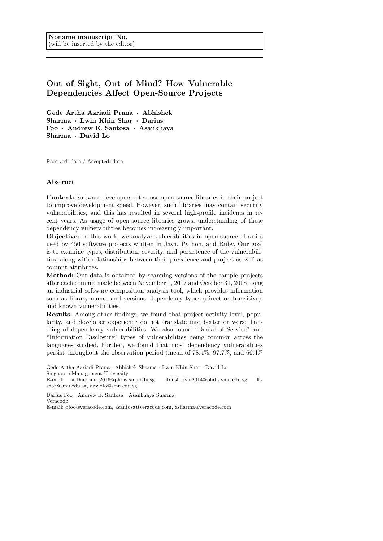# Out of Sight, Out of Mind? How Vulnerable Dependencies Affect Open-Source Projects

Gede Artha Azriadi Prana · Abhishek Sharma · Lwin Khin Shar · Darius Foo · Andrew E. Santosa · Asankhaya Sharma · David Lo

Received: date / Accepted: date

### Abstract

Context: Software developers often use open-source libraries in their project to improve development speed. However, such libraries may contain security vulnerabilities, and this has resulted in several high-profile incidents in recent years. As usage of open-source libraries grows, understanding of these dependency vulnerabilities becomes increasingly important.

Objective: In this work, we analyze vulnerabilities in open-source libraries used by 450 software projects written in Java, Python, and Ruby. Our goal is to examine types, distribution, severity, and persistence of the vulnerabilities, along with relationships between their prevalence and project as well as commit attributes.

Method: Our data is obtained by scanning versions of the sample projects after each commit made between November 1, 2017 and October 31, 2018 using an industrial software composition analysis tool, which provides information such as library names and versions, dependency types (direct or transitive), and known vulnerabilities.

Results: Among other findings, we found that project activity level, popularity, and developer experience do not translate into better or worse handling of dependency vulnerabilities. We also found "Denial of Service" and "Information Disclosure" types of vulnerabilities being common across the languages studied. Further, we found that most dependency vulnerabilities persist throughout the observation period (mean of 78.4%, 97.7%, and 66.4%

Darius Foo · Andrew E. Santosa · Asankhaya Sharma Veracode

Gede Artha Azriadi Prana · Abhishek Sharma · Lwin Khin Shar · David Lo Singapore Management University

E-mail: arthaprana.2016@phdis.smu.edu.sg, abhisheksh.2014@phdis.smu.edu.sg, lkshar@smu.edu.sg, davidlo@smu.edu.sg

E-mail: dfoo@veracode.com, asantosa@veracode.com, asharma@veracode.com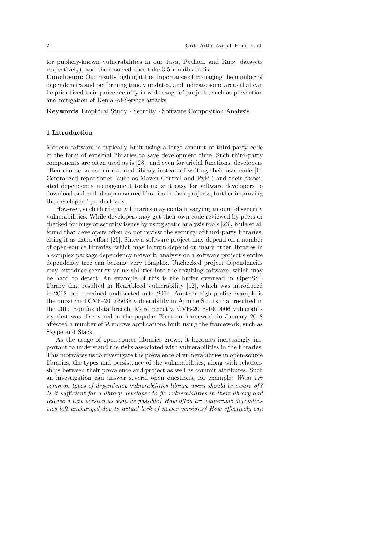for publicly-known vulnerabilities in our Java, Python, and Ruby datasets respectively), and the resolved ones take 3-5 months to fix.

Conclusion: Our results highlight the importance of managing the number of dependencies and performing timely updates, and indicate some areas that can be prioritized to improve security in wide range of projects, such as prevention and mitigation of Denial-of-Service attacks.

Keywords Empirical Study · Security · Software Composition Analysis

#### 1 Introduction

Modern software is typically built using a large amount of third-party code in the form of external libraries to save development time. Such third-party components are often used as is [28], and even for trivial functions, developers often choose to use an external library instead of writing their own code [1]. Centralized repositories (such as Maven Central and PyPI) and their associated dependency management tools make it easy for software developers to download and include open-source libraries in their projects, further improving the developers' productivity.

However, such third-party libraries may contain varying amount of security vulnerabilities. While developers may get their own code reviewed by peers or checked for bugs or security issues by using static analysis tools [23], Kula et al. found that developers often do not review the security of third-party libraries, citing it as extra effort [25]. Since a software project may depend on a number of open-source libraries, which may in turn depend on many other libraries in a complex package dependency network, analysis on a software project's entire dependency tree can become very complex. Unchecked project dependencies may introduce security vulnerabilities into the resulting software, which may be hard to detect. An example of this is the buffer overread in OpenSSL library that resulted in Heartbleed vulnerability [12], which was introduced in 2012 but remained undetected until 2014. Another high-profile example is the unpatched CVE-2017-5638 vulnerability in Apache Struts that resulted in the 2017 Equifax data breach. More recently, CVE-2018-1000006 vulnerability that was discovered in the popular Electron framework in January 2018 affected a number of Windows applications built using the framework, such as Skype and Slack.

As the usage of open-source libraries grows, it becomes increasingly important to understand the risks associated with vulnerabilities in the libraries. This motivates us to investigate the prevalence of vulnerabilities in open-source libraries, the types and persistence of the vulnerabilities, along with relationships between their prevalence and project as well as commit attributes. Such an investigation can answer several open questions, for example: What are common types of dependency vulnerabilities library users should be aware of ? Is it sufficient for a library developer to fix vulnerabilities in their library and release a new version as soon as possible? How often are vulnerable dependencies left unchanged due to actual lack of newer versions? How effectively can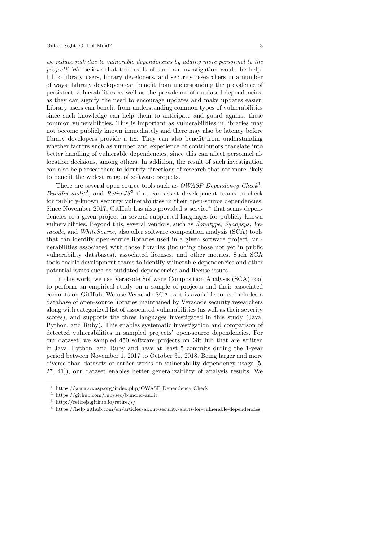we reduce risk due to vulnerable dependencies by adding more personnel to the project? We believe that the result of such an investigation would be helpful to library users, library developers, and security researchers in a number of ways. Library developers can benefit from understanding the prevalence of persistent vulnerabilities as well as the prevalence of outdated dependencies, as they can signify the need to encourage updates and make updates easier. Library users can benefit from understanding common types of vulnerabilities since such knowledge can help them to anticipate and guard against these common vulnerabilities. This is important as vulnerabilities in libraries may not become publicly known immediately and there may also be latency before library developers provide a fix. They can also benefit from understanding whether factors such as number and experience of contributors translate into better handling of vulnerable dependencies, since this can affect personnel allocation decisions, among others. In addition, the result of such investigation can also help researchers to identify directions of research that are more likely to benefit the widest range of software projects.

There are several open-source tools such as OWASP Dependency Check<sup>1</sup>, Bundler-audit<sup>2</sup>, and Retire JS<sup>3</sup> that can assist development teams to check for publicly-known security vulnerabilities in their open-source dependencies. Since November 2017, GitHub has also provided a service<sup>4</sup> that scans dependencies of a given project in several supported languages for publicly known vulnerabilities. Beyond this, several vendors, such as Sonatype, Synopsys, Veracode, and *WhiteSource*, also offer software composition analysis (SCA) tools that can identify open-source libraries used in a given software project, vulnerabilities associated with those libraries (including those not yet in public vulnerability databases), associated licenses, and other metrics. Such SCA tools enable development teams to identify vulnerable dependencies and other potential issues such as outdated dependencies and license issues.

In this work, we use Veracode Software Composition Analysis (SCA) tool to perform an empirical study on a sample of projects and their associated commits on GitHub. We use Veracode SCA as it is available to us, includes a database of open-source libraries maintained by Veracode security researchers along with categorized list of associated vulnerabilities (as well as their severity scores), and supports the three languages investigated in this study (Java, Python, and Ruby). This enables systematic investigation and comparison of detected vulnerabilities in sampled projects' open-source dependencies. For our dataset, we sampled 450 software projects on GitHub that are written in Java, Python, and Ruby and have at least 5 commits during the 1-year period between November 1, 2017 to October 31, 2018. Being larger and more diverse than datasets of earlier works on vulnerability dependency usage [5, 27, 41]), our dataset enables better generalizability of analysis results. We

<sup>1</sup> https://www.owasp.org/index.php/OWASP Dependency Check

<sup>2</sup> https://github.com/rubysec/bundler-audit

<sup>3</sup> http://retirejs.github.io/retire.js/

<sup>4</sup> https://help.github.com/en/articles/about-security-alerts-for-vulnerable-dependencies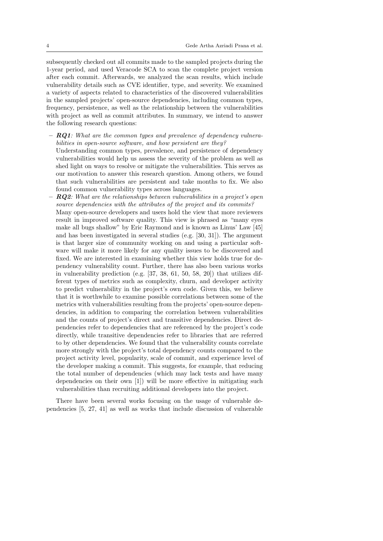subsequently checked out all commits made to the sampled projects during the 1-year period, and used Veracode SCA to scan the complete project version after each commit. Afterwards, we analyzed the scan results, which include vulnerability details such as CVE identifier, type, and severity. We examined a variety of aspects related to characteristics of the discovered vulnerabilities in the sampled projects' open-source dependencies, including common types, frequency, persistence, as well as the relationship between the vulnerabilities with project as well as commit attributes. In summary, we intend to answer the following research questions:

 $-$  **RQ1**: What are the common types and prevalence of dependency vulnerabilities in open-source software, and how persistent are they?

Understanding common types, prevalence, and persistence of dependency vulnerabilities would help us assess the severity of the problem as well as shed light on ways to resolve or mitigate the vulnerabilities. This serves as our motivation to answer this research question. Among others, we found that such vulnerabilities are persistent and take months to fix. We also found common vulnerability types across languages.

 $RQ2$ : What are the relationships between vulnerabilities in a project's open source dependencies with the attributes of the project and its commits? Many open-source developers and users hold the view that more reviewers result in improved software quality. This view is phrased as "many eyes make all bugs shallow" by Eric Raymond and is known as Linus' Law [45] and has been investigated in several studies (e.g. [30, 31]). The argument is that larger size of community working on and using a particular software will make it more likely for any quality issues to be discovered and fixed. We are interested in examining whether this view holds true for dependency vulnerability count. Further, there has also been various works in vulnerability prediction (e.g. [37, 38, 61, 50, 58, 20]) that utilizes different types of metrics such as complexity, churn, and developer activity to predict vulnerability in the project's own code. Given this, we believe that it is worthwhile to examine possible correlations between some of the metrics with vulnerabilities resulting from the projects' open-source dependencies, in addition to comparing the correlation between vulnerabilities and the counts of project's direct and transitive dependencies. Direct dependencies refer to dependencies that are referenced by the project's code directly, while transitive dependencies refer to libraries that are referred to by other dependencies. We found that the vulnerability counts correlate more strongly with the project's total dependency counts compared to the project activity level, popularity, scale of commit, and experience level of the developer making a commit. This suggests, for example, that reducing the total number of dependencies (which may lack tests and have many dependencies on their own [1]) will be more effective in mitigating such vulnerabilities than recruiting additional developers into the project.

There have been several works focusing on the usage of vulnerable dependencies [5, 27, 41] as well as works that include discussion of vulnerable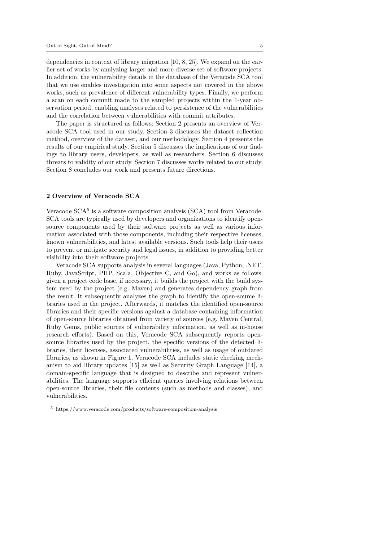dependencies in context of library migration [10, 8, 25]. We expand on the earlier set of works by analyzing larger and more diverse set of software projects. In addition, the vulnerability details in the database of the Veracode SCA tool that we use enables investigation into some aspects not covered in the above works, such as prevalence of different vulnerability types. Finally, we perform a scan on each commit made to the sampled projects within the 1-year observation period, enabling analyses related to persistence of the vulnerabilities and the correlation between vulnerabilities with commit attributes.

The paper is structured as follows: Section 2 presents an overview of Veracode SCA tool used in our study. Section 3 discusses the dataset collection method, overview of the dataset, and our methodology. Section 4 presents the results of our empirical study. Section 5 discusses the implications of our findings to library users, developers, as well as researchers. Section 6 discusses threats to validity of our study. Section 7 discusses works related to our study. Section 8 concludes our work and presents future directions.

### 2 Overview of Veracode SCA

Veracode SCA<sup>5</sup> is a software composition analysis (SCA) tool from Veracode. SCA tools are typically used by developers and organizations to identify opensource components used by their software projects as well as various information associated with those components, including their respective licenses, known vulnerabilities, and latest available versions. Such tools help their users to prevent or mitigate security and legal issues, in addition to providing better visibility into their software projects.

Veracode SCA supports analysis in several languages (Java, Python, .NET, Ruby, JavaScript, PHP, Scala, Objective C, and Go), and works as follows: given a project code base, if necessary, it builds the project with the build system used by the project (e.g. Maven) and generates dependency graph from the result. It subsequently analyzes the graph to identify the open-source libraries used in the project. Afterwards, it matches the identified open-source libraries and their specific versions against a database containing information of open-source libraries obtained from variety of sources (e.g. Maven Central, Ruby Gems, public sources of vulnerability information, as well as in-house research efforts). Based on this, Veracode SCA subsequently reports opensource libraries used by the project, the specific versions of the detected libraries, their licenses, associated vulnerabilities, as well as usage of outdated libraries, as shown in Figure 1. Veracode SCA includes static checking mechanism to aid library updates [15] as well as Security Graph Language [14], a domain-specific language that is designed to describe and represent vulnerabilities. The language supports efficient queries involving relations between open-source libraries, their file contents (such as methods and classes), and vulnerabilities.

<sup>5</sup> https://www.veracode.com/products/software-composition-analysis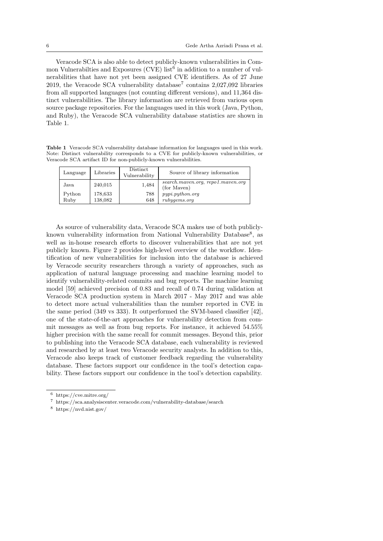Veracode SCA is also able to detect publicly-known vulnerabilities in Common Vulnerabilties and Exposures (CVE) list<sup>6</sup> in addition to a number of vulnerabilities that have not yet been assigned CVE identifiers. As of 27 June 2019, the Veracode SCA vulnerability database<sup>7</sup> contains  $2,027,092$  libraries from all supported languages (not counting different versions), and 11,364 distinct vulnerabilities. The library information are retrieved from various open source package repositories. For the languages used in this work (Java, Python, and Ruby), the Veracode SCA vulnerability database statistics are shown in Table 1.

Table 1 Veracode SCA vulnerability database information for languages used in this work. Note: Distinct vulnerability corresponds to a CVE for publicly-known vulnerabilities, or Veracode SCA artifact ID for non-publicly-known vulnerabilities.

| Language | Libraries | Distinct<br>Vulnerability | Source of library information                    |
|----------|-----------|---------------------------|--------------------------------------------------|
| Java     | 240,015   | 1,484                     | search.maven.org, repo1.maven.org<br>(for Maven) |
| Python   | 178,633   | 788                       | pypi.python.org                                  |
| Ruby     | 138,082   | 648                       | rubyqems.org                                     |

As source of vulnerability data, Veracode SCA makes use of both publiclyknown vulnerability information from National Vulnerability Database<sup>8</sup>, as well as in-house research efforts to discover vulnerabilities that are not yet publicly known. Figure 2 provides high-level overview of the workflow. Identification of new vulnerabilities for inclusion into the database is achieved by Veracode security researchers through a variety of approaches, such as application of natural language processing and machine learning model to identify vulnerability-related commits and bug reports. The machine learning model [59] achieved precision of 0.83 and recall of 0.74 during validation at Veracode SCA production system in March 2017 - May 2017 and was able to detect more actual vulnerabilities than the number reported in CVE in the same period (349 vs 333). It outperformed the SVM-based classifier [42], one of the state-of-the-art approaches for vulnerability detection from commit messages as well as from bug reports. For instance, it achieved 54.55% higher precision with the same recall for commit messages. Beyond this, prior to publishing into the Veracode SCA database, each vulnerability is reviewed and researched by at least two Veracode security analysts. In addition to this, Veracode also keeps track of customer feedback regarding the vulnerability database. These factors support our confidence in the tool's detection capability. These factors support our confidence in the tool's detection capability.

<sup>6</sup> https://cve.mitre.org/

<sup>7</sup> https://sca.analysiscenter.veracode.com/vulnerability-database/search

<sup>8</sup> https://nvd.nist.gov/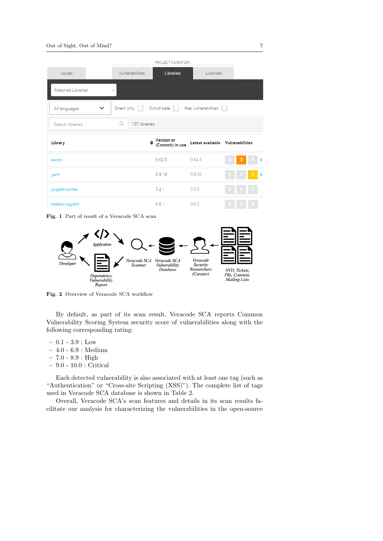|                              | PROJECT INVENTORY  |                                      |                                  |  |   |  |               |
|------------------------------|--------------------|--------------------------------------|----------------------------------|--|---|--|---------------|
| <b>Issues</b>                | Vulnerabilities    | <b>Libraries</b>                     | Licenses                         |  |   |  |               |
| Matched Libraries            |                    |                                      |                                  |  |   |  |               |
| All languages<br>$\check{ }$ | Direct only        | Out-of-date                          | Has vulnerabilities              |  |   |  |               |
| Search libraries             | Q<br>157 libraries |                                      |                                  |  |   |  |               |
| Library                      |                    | $\div$ Version or<br>(Commit) in use | Latest available Vulnerabilities |  |   |  |               |
| excon                        |                    | 0.62.0                               | 0.64.0                           |  | 2 |  |               |
| yard                         |                    | 0.9.16                               | 0.9.20                           |  |   |  | $\rightarrow$ |
| puppet-syntax                |                    | 241                                  | 2.5.0                            |  |   |  |               |
| beaker-vagrant               |                    | 0.6.1                                | 0.6.2                            |  |   |  |               |

Fig. 1 Part of result of a Veracode SCA scan



Fig. 2 Overview of Veracode SCA workflow

By default, as part of its scan result, Veracode SCA reports Common Vulnerability Scoring System security score of vulnerabilities along with the following corresponding rating:

- $-0.1 3.9 :$  Low
- 4.0 6.9 : Medium
- $-7.0 8.9$ : High
- 9.0 10.0 : Critical

Each detected vulnerability is also associated with at least one tag (such as "Authentication" or "Cross-site Scripting (XSS)"). The complete list of tags used in Veracode SCA database is shown in Table 2.

Overall, Veracode SCA's scan features and details in its scan results facilitate our analysis for characterizing the vulnerabilities in the open-source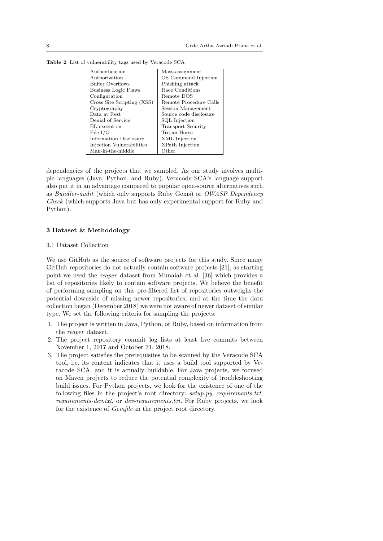| Authentication             | Mass-assignment           |
|----------------------------|---------------------------|
| Authorization              | OS Command Injection      |
| Buffer Overflows           | Phishing attack           |
| Business Logic Flaws       | Race Conditions           |
| Configuration              | Remote DOS                |
| Cross Site Scripting (XSS) | Remote Procedure Calls    |
| Cryptography               | Session Management        |
| Data at Rest               | Source code disclosure    |
| Denial of Service          | SQL Injection             |
| EL execution               | <b>Transport Security</b> |
| File $I/O$                 | Trojan Horse              |
| Information Disclosure     | XML Injection             |
| Injection Vulnerabilities  | XPath Injection           |
| Man-in-the-middle          | Other                     |

Table 2 List of vulnerability tags used by Veracode SCA

dependencies of the projects that we sampled. As our study involves multiple languages (Java, Python, and Ruby), Veracode SCA's language support also put it in an advantage compared to popular open-source alternatives such as Bundler-audit (which only supports Ruby Gems) or OWASP Dependency Check (which supports Java but has only experimental support for Ruby and Python).

### 3 Dataset & Methodology

### 3.1 Dataset Collection

We use GitHub as the source of software projects for this study. Since many GitHub repositories do not actually contain software projects [21], as starting point we used the reaper dataset from Munaiah et al. [36] which provides a list of repositories likely to contain software projects. We believe the benefit of performing sampling on this pre-filtered list of repositories outweighs the potential downside of missing newer repositories, and at the time the data collection began (December 2018) we were not aware of newer dataset of similar type. We set the following criteria for sampling the projects:

- 1. The project is written in Java, Python, or Ruby, based on information from the reaper dataset.
- 2. The project repository commit log lists at least five commits between November 1, 2017 and October 31, 2018.
- 3. The project satisfies the prerequisites to be scanned by the Veracode SCA tool, i.e. its content indicates that it uses a build tool supported by Veracode SCA, and it is actually buildable. For Java projects, we focused on Maven projects to reduce the potential complexity of troubleshooting build issues. For Python projects, we look for the existence of one of the following files in the project's root directory: setup.py, requirements.txt, requirements-dev.txt, or dev-requirements.txt. For Ruby projects, we look for the existence of Gemfile in the project root directory.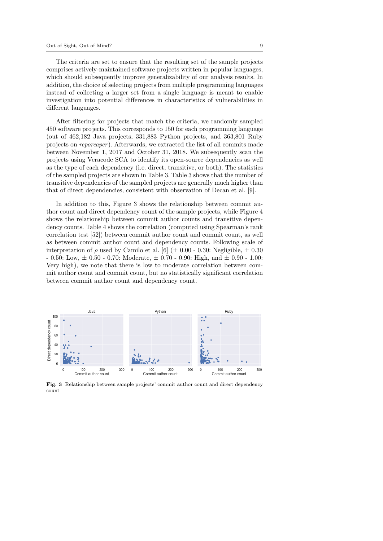The criteria are set to ensure that the resulting set of the sample projects comprises actively-maintained software projects written in popular languages, which should subsequently improve generalizability of our analysis results. In addition, the choice of selecting projects from multiple programming languages instead of collecting a larger set from a single language is meant to enable investigation into potential differences in characteristics of vulnerabilities in different languages.

After filtering for projects that match the criteria, we randomly sampled 450 software projects. This corresponds to 150 for each programming language (out of 462,182 Java projects, 331,883 Python projects, and 363,801 Ruby projects on reporeaper ). Afterwards, we extracted the list of all commits made between November 1, 2017 and October 31, 2018. We subsequently scan the projects using Veracode SCA to identify its open-source dependencies as well as the type of each dependency (i.e. direct, transitive, or both). The statistics of the sampled projects are shown in Table 3. Table 3 shows that the number of transitive dependencies of the sampled projects are generally much higher than that of direct dependencies, consistent with observation of Decan et al. [9].

In addition to this, Figure 3 shows the relationship between commit author count and direct dependency count of the sample projects, while Figure 4 shows the relationship between commit author counts and transitive dependency counts. Table 4 shows the correlation (computed using Spearman's rank correlation test [52]) between commit author count and commit count, as well as between commit author count and dependency counts. Following scale of interpretation of  $\rho$  used by Camilo et al. [6] ( $\pm$  0.00 - 0.30: Negligible,  $\pm$  0.30  $- 0.50$ : Low,  $\pm 0.50$  - 0.70: Moderate,  $\pm 0.70$  - 0.90: High, and  $\pm 0.90$  - 1.00: Very high), we note that there is low to moderate correlation between commit author count and commit count, but no statistically significant correlation between commit author count and dependency count.



Fig. 3 Relationship between sample projects' commit author count and direct dependency count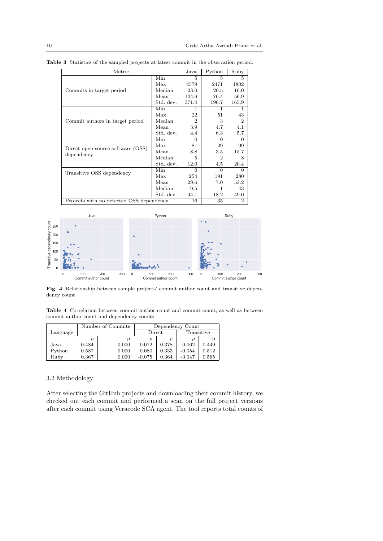| Metric                                   | Java      | Python                      | Ruby           |                |
|------------------------------------------|-----------|-----------------------------|----------------|----------------|
|                                          | Min       | 5                           | 5.             | 5              |
|                                          | Max       | 4579                        | 2471           | 1802           |
| Commits in target period                 | Median    | 23.0                        | 20.5           | 16.0           |
|                                          | Mean      | 104.6                       | 76.4           | 56.9           |
|                                          | Std. dev. | 371.4                       | 196.7          | 165.9          |
|                                          | Min       | 1                           | 1              | 1              |
|                                          | Max       | 22                          | 51             | 43             |
| Commit authors in target period          | Median    | $\mathcal{D}_{\mathcal{L}}$ | 3              | $\overline{2}$ |
|                                          | Mean      | 3.9                         | 4.7            | 4.1            |
|                                          | Std. dev. | 4.4                         | 6.3            | 5.7            |
|                                          | Min       | $\Omega$                    | $\Omega$       | $\Omega$       |
|                                          | Max       | 81                          | 29             | 99             |
| Direct open-source software (OSS)        | Mean      | 8.8                         | $3.5\,$        | 15.7           |
| dependency                               | Median    | 5                           | $\overline{2}$ | 8              |
|                                          | Std. dev. | 12.0                        | 4.5            | 20.4           |
|                                          | Min       | $\Omega$                    | $\Omega$       | $\Omega$       |
| Transitive OSS dependency                | Max       | 254                         | 191            | 280            |
|                                          | Mean      | 29.6                        | 7.0            | 53.2           |
|                                          | Median    | 9.5                         | 1              | 43             |
|                                          | Std. dev. | 44.1                        | 18.2           | 49.0           |
| Projects with no detected OSS dependency |           | 16                          | 35             | $\overline{2}$ |

Table 3 Statistics of the sampled projects at latest commit in the observation period.



Fig. 4 Relationship between sample projects' commit author count and transitive dependency count

Table 4 Correlation between commit author count and commit count, as well as between commit author count and dependency counts

|          |       | Number of Commits | Dependency Count |       |            |       |  |
|----------|-------|-------------------|------------------|-------|------------|-------|--|
| Language |       |                   | Direct           |       | Transitive |       |  |
|          |       | D                 |                  |       |            |       |  |
| Java     | 0.484 | 0.000             | 0.072            | 0.378 | 0.062      | 0.449 |  |
| Python   | 0.587 | 0.000             | 0.080            | 0.333 | $-0.054$   | 0.512 |  |
| Ruby     | 0.367 | 0.000             | $-0.075$         | 0.364 | $-0.047$   | 0.565 |  |

# 3.2 Methodology

After selecting the GitHub projects and downloading their commit history, we checked out each commit and performed a scan on the full project versions after each commit using Veracode SCA agent. The tool reports total counts of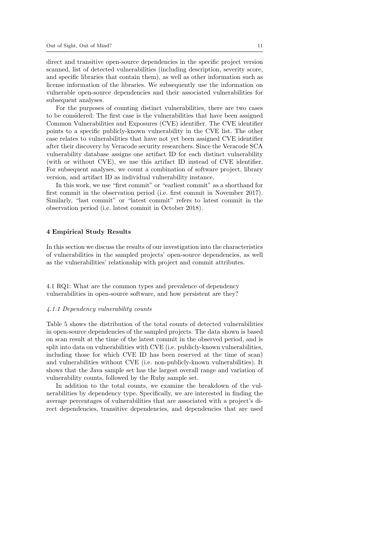direct and transitive open-source dependencies in the specific project version scanned, list of detected vulnerabilities (including description, severity score, and specific libraries that contain them), as well as other information such as license information of the libraries. We subsequently use the information on vulnerable open-source dependencies and their associated vulnerabilities for subsequent analyses.

For the purposes of counting distinct vulnerabilities, there are two cases to be considered: The first case is the vulnerabilities that have been assigned Common Vulnerabilities and Exposures (CVE) identifier. The CVE identifier points to a specific publicly-known vulnerability in the CVE list. The other case relates to vulnerabilities that have not yet been assigned CVE identifier after their discovery by Veracode security researchers. Since the Veracode SCA vulnerability database assigns one artifact ID for each distinct vulnerability (with or without CVE), we use this artifact ID instead of CVE identifier. For subsequent analyses, we count a combination of software project, library version, and artifact ID as individual vulnerability instance.

In this work, we use "first commit" or "earliest commit" as a shorthand for first commit in the observation period (i.e. first commit in November 2017). Similarly, "last commit" or "latest commit" refers to latest commit in the observation period (i.e. latest commit in October 2018).

#### 4 Empirical Study Results

In this section we discuss the results of our investigation into the characteristics of vulnerabilities in the sampled projects' open-source dependencies, as well as the vulnerabilities' relationship with project and commit attributes.

4.1 RQ1: What are the common types and prevalence of dependency vulnerabilities in open-source software, and how persistent are they?

#### 4.1.1 Dependency vulnerability counts

Table 5 shows the distribution of the total counts of detected vulnerabilities in open-source dependencies of the sampled projects. The data shown is based on scan result at the time of the latest commit in the observed period, and is split into data on vulnerabilities with CVE (i.e. publicly-known vulnerabilities, including those for which CVE ID has been reserved at the time of scan) and vulnerabilities without CVE (i.e. non-publicly-known vulnerabilities). It shows that the Java sample set has the largest overall range and variation of vulnerability counts, followed by the Ruby sample set.

In addition to the total counts, we examine the breakdown of the vulnerabilities by dependency type. Specifically, we are interested in finding the average percentages of vulnerabilities that are associated with a project's direct dependencies, transitive dependencies, and dependencies that are used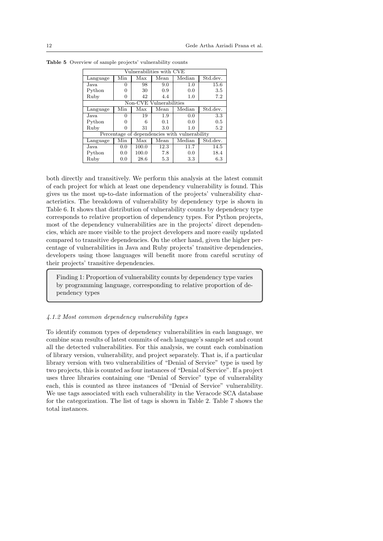| Vulnerabilities with CVE |                         |       |      |                                               |          |  |  |  |  |  |
|--------------------------|-------------------------|-------|------|-----------------------------------------------|----------|--|--|--|--|--|
| Language                 | Min                     | Max   | Mean | Median                                        | Std.dev. |  |  |  |  |  |
| Java                     | 0                       | 98    | 9.0  | 1.0                                           | 15.6     |  |  |  |  |  |
| Python                   | 0                       | 30    | 0.9  | 0.0                                           | 3.5      |  |  |  |  |  |
| Ruby                     | 0                       | 42    | 4.4  | 1.0                                           | 7.2      |  |  |  |  |  |
|                          | Non-CVE Vulnerabilities |       |      |                                               |          |  |  |  |  |  |
| Language                 | Min                     | Max   | Mean | Median                                        | Std.dev. |  |  |  |  |  |
| Java                     | 0                       | 19    | 1.9  | 0.0                                           | 3.3      |  |  |  |  |  |
| Python                   | 0                       | б     | 0.1  | 0.0                                           | 0.5      |  |  |  |  |  |
| Ruby                     | 0                       | 31    | 3.0  | 1.0                                           | 5.2      |  |  |  |  |  |
|                          |                         |       |      | Percentage of dependencies with vulnerability |          |  |  |  |  |  |
| Language                 | Min                     | Max   | Mean | Median                                        | Std.dev. |  |  |  |  |  |
| Java                     | 0.0                     | 100.0 | 12.3 | 11.7                                          | 14.5     |  |  |  |  |  |
| Python                   | 0.0                     | 100.0 | 7.8  | 0.0                                           | 18.4     |  |  |  |  |  |
| Ruby                     | 0.0                     | 28.6  | 5.3  | 3.3                                           | 6.3      |  |  |  |  |  |

Table 5 Overview of sample projects' vulnerability counts

both directly and transitively. We perform this analysis at the latest commit of each project for which at least one dependency vulnerability is found. This gives us the most up-to-date information of the projects' vulnerability characteristics. The breakdown of vulnerability by dependency type is shown in Table 6. It shows that distribution of vulnerability counts by dependency type corresponds to relative proportion of dependency types. For Python projects, most of the dependency vulnerabilities are in the projects' direct dependencies, which are more visible to the project developers and more easily updated compared to transitive dependencies. On the other hand, given the higher percentage of vulnerabilities in Java and Ruby projects' transitive dependencies, developers using those languages will benefit more from careful scrutiny of their projects' transitive dependencies.

Finding 1: Proportion of vulnerability counts by dependency type varies by programming language, corresponding to relative proportion of dependency types

## 4.1.2 Most common dependency vulnerability types

To identify common types of dependency vulnerabilities in each language, we combine scan results of latest commits of each language's sample set and count all the detected vulnerabilities. For this analysis, we count each combination of library version, vulnerability, and project separately. That is, if a particular library version with two vulnerabilities of "Denial of Service" type is used by two projects, this is counted as four instances of "Denial of Service". If a project uses three libraries containing one "Denial of Service" type of vulnerability each, this is counted as three instances of "Denial of Service" vulnerability. We use tags associated with each vulnerability in the Veracode SCA database for the categorization. The list of tags is shown in Table 2. Table 7 shows the total instances.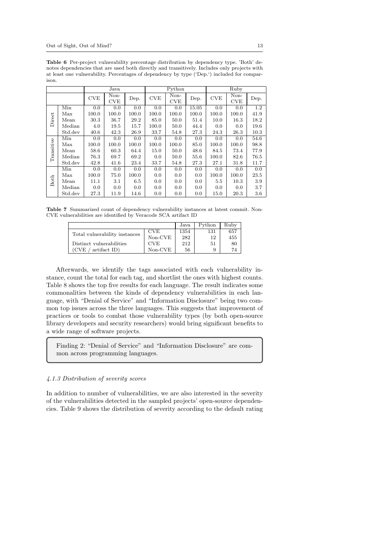|            |                   |       | Java               |       |            | Python             |       |            | Ruby               |      |
|------------|-------------------|-------|--------------------|-------|------------|--------------------|-------|------------|--------------------|------|
|            |                   | CVE   | Non-<br><b>CVE</b> | Dep.  | <b>CVE</b> | Non-<br><b>CVE</b> | Dep.  | <b>CVE</b> | Non-<br><b>CVE</b> | Dep. |
|            | Min               | 0.0   | 0.0                | 0.0   | 0.0        | 0.0                | 15.05 | 0.0        | 0.0                | 1.2  |
|            | Max               | 100.0 | 100.0              | 100.0 | 100.0      | 100.0              | 100.0 | 100.0      | 100.0              | 41.9 |
| Direct     | Mean              | 30.3  | 36.7               | 29.2  | 85.0       | 50.0               | 51.4  | 10.0       | 16.3               | 18.2 |
|            | Median            | 4.0   | 19.5               | 15.7  | 100.0      | 50.0               | 44.4  | 0.0        | 0.0                | 19.6 |
|            | Std.dev           | 40.6  | 42.3               | 26.9  | 33.7       | 54.8               | 27.3  | 24.3       | 26.3               | 10.3 |
|            | Min               | 0.0   | 0.0                | 0.0   | 0.0        | 0.0                | 0.0   | 0.0        | 0.0                | 54.6 |
| Transitive | Max               | 100.0 | 100.0              | 100.0 | 100.0      | 100.0              | 85.0  | 100.0      | 100.0              | 98.8 |
|            | Mean              | 58.6  | 60.3               | 64.4  | 15.0       | 50.0               | 48.6  | 84.5       | 73.4               | 77.9 |
|            | Median            | 76.3  | 69.7               | 69.2  | 0.0        | 50.0               | 55.6  | 100.0      | 82.6               | 76.5 |
|            | Std.dev           | 42.8  | 41.6               | 23.4  | 33.7       | 54.8               | 27.3  | 27.1       | 31.8               | 11.7 |
|            | Min               | 0.0   | 0.0                | 0.0   | 0.0        | 0.0                | 0.0   | 0.0        | 0.0                | 0.0  |
|            | Max               | 100.0 | 75.0               | 100.0 | 0.0        | 0.0                | 0.0   | 100.0      | 100.0              | 23.5 |
| Both       | Mean              | 11.1  | 3.1                | 6.5   | 0.0        | 0.0                | 0.0   | 5.5        | 10.3               | 3.9  |
|            | Median            | 0.0   | 0.0                | 0.0   | 0.0        | 0.0                | 0.0   | 0.0        | 0.0                | 3.7  |
|            | $_{\rm Std. dev}$ | 27.3  | 11.9               | 14.6  | 0.0        | 0.0                | 0.0   | 15.0       | 20.3               | 3.6  |

Table 6 Per-project vulnerability percentage distribution by dependency type. 'Both' denotes dependencies that are used both directly and transitively. Includes only projects with at least one vulnerability. Percentages of dependency by type ('Dep.') included for comparison.

Table 7 Summarized count of dependency vulnerability instances at latest commit. Non-CVE vulnerabilities are identified by Veracode SCA artifact ID

|                               |            | Java | Python | Rubv |
|-------------------------------|------------|------|--------|------|
| Total vulnerability instances | <b>CVE</b> | 1354 | 131    | 657  |
|                               | $Non-CVE$  | 282  | 12     | 455  |
| Distinct vulnerabilities      | <b>CVE</b> | 212  | 51     | 80   |
| artifact ID)<br>(CVE)         | $Non-CVE$  | 56   | 9      | 74   |

Afterwards, we identify the tags associated with each vulnerability instance, count the total for each tag, and shortlist the ones with highest counts. Table 8 shows the top five results for each language. The result indicates some commonalities between the kinds of dependency vulnerabilities in each language, with "Denial of Service" and "Information Disclosure" being two common top issues across the three languages. This suggests that improvement of practices or tools to combat those vulnerability types (by both open-source library developers and security researchers) would bring significant benefits to a wide range of software projects.

Finding 2: "Denial of Service" and "Information Disclosure" are common across programming languages.

### 4.1.3 Distribution of severity scores

In addition to number of vulnerabilities, we are also interested in the severity of the vulnerabilities detected in the sampled projects' open-source dependencies. Table 9 shows the distribution of severity according to the default rating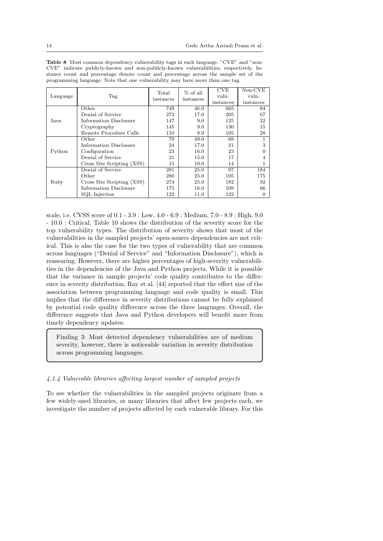| <b>Table 8</b> Most common dependency vulnerability tags in each language. "CVE" and "non- |
|--------------------------------------------------------------------------------------------|
| CVE" indicate publicly-known and non-publicly-known vulnerabilities, respectively. In-     |
| stance count and percentage denote count and percentage across the sample set of the       |
| programming language. Note that one vulnerability may have more than one tag.              |

|          |                               | Total     | % of all  | CVE       | $Non-CVE$ |
|----------|-------------------------------|-----------|-----------|-----------|-----------|
| Language | Tag                           | instances | instances | vuln.     | vuln.     |
|          |                               |           |           | instances | instances |
|          | Other                         | 749       | 46.0      | 665       | 84        |
|          | Denial of Service             | 272       | 17.0      | 205       | 67        |
| Java     | Information Disclosure        | 147       | 9.0       | 125       | 22        |
|          | Cryptography                  | 145       | 9.0       | 130       | 15        |
|          | Remote Procedure Calls        | 133       | 8.0       | 105       | 28        |
|          | Other                         | 70        | 49.0      | 69        |           |
|          | Information Disclosure        | 24        | 17.0      | 21        | 3         |
| Python   | Configuration                 | 23        | 16.0      | 23        | 0         |
|          | Denial of Service             | 21        | 15.0      | 17        | 4         |
|          | Cross Site Scripting (XSS)    | 15        | 10.0      | 14        |           |
|          | Denial of Service             | 281       | 25.0      | 97        | 184       |
|          | Other                         | 280       | 25.0      | 105       | 175       |
| Ruby     | Cross Site Scripting (XSS)    | 274       | 25.0      | 182       | 92        |
|          | <b>Information Disclosure</b> | 175       | 16.0      | 109       | 66        |
|          | SQL Injection                 | 122       | 11.0      | 122       | 0         |

scale, i.e. CVSS score of 0.1 - 3.9 : Low, 4.0 - 6.9 : Medium, 7.0 - 8.9 : High, 9.0 - 10.0 : Critical. Table 10 shows the distribution of the severity score for the top vulnerability types. The distribution of severity shows that most of the vulnerabilities in the sampled projects' open-source dependencies are not critical. This is also the case for the two types of vulnerability that are common across languages ("Denial of Service" and "Information Disclosure"), which is reassuring. However, there are higher percentages of high-severity vulnerabilities in the dependencies of the Java and Python projects. While it is possible that the variance in sample projects' code quality contributes to the difference in severity distribution, Ray et al. [44] reported that the effect size of the association between programming language and code quality is small. This implies that the difference in severity distributions cannot be fully explained by potential code quality difference across the three languages. Overall, the difference suggests that Java and Python developers will benefit more from timely dependency updates.

Finding 3: Most detected dependency vulnerabilities are of medium severity, however, there is noticeable variation in severity distribution across programming languages.

### 4.1.4 Vulnerable libraries affecting largest number of sampled projects

To see whether the vulnerabilities in the sampled projects originate from a few widely-used libraries, or many libraries that affect few projects each, we investigate the number of projects affected by each vulnerable library. For this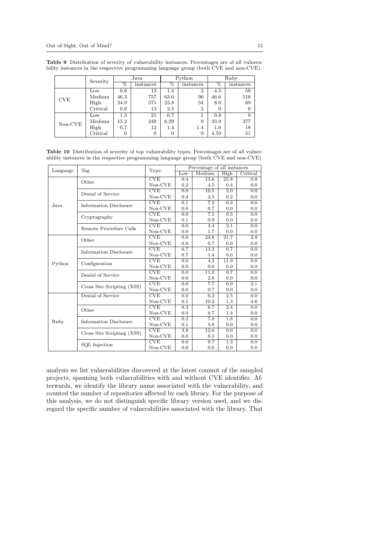|            | Severity | Java    |           |         | Python         | Ruby    |           |  |
|------------|----------|---------|-----------|---------|----------------|---------|-----------|--|
|            |          | %       | instances | $\%$    | instances      | %       | instances |  |
|            | Low      | 0.8     | 13        | $1.4\,$ | $\overline{2}$ | 4.5     | 50        |  |
| <b>CVE</b> | Medium   | 46.3    | 757       | 63.0    | 90             | 46.6    | 518       |  |
|            | High     | 34.9    | 571       | 23.8    | 34             | 8.0     | 89        |  |
|            | Critical | 0.8     | 13        | 3.5     | 5              | 0       | 0         |  |
|            | Low      | $1.3\,$ | 21        | 0.7     |                | 0.8     | 9         |  |
| $Non-CVE$  | Medium   | 15.2    | 249       | 6.29    | 9              | 33.9    | 377       |  |
|            | High     | 0.7     | 12        | 1.4     | 1.4            | $1.6\,$ | 18        |  |
|            | Critical | 0       | 0         | 0       | 0              | 4.59    | 51        |  |

Table 9 Distribution of severity of vulnerability instances. Percentages are of all vulnerability instances in the respective programming language group (both CVE and non-CVE).

Table 10 Distribution of severity of top vulnerability types. Percentages are of all vulnerability instances in the respective programming language group (both CVE and non-CVE).

| Language | Tag                        | Type       |                  | Percentage of all instances |                  |          |  |  |
|----------|----------------------------|------------|------------------|-----------------------------|------------------|----------|--|--|
|          |                            |            | Low              | Medium                      | High             | Critical |  |  |
|          | Other                      | <b>CVE</b> | 0.4              | 13.6                        | 25.8             | 0.8      |  |  |
|          |                            | $Non-CVE$  | 0.2              | 4.5                         | 0.4              | 0.0      |  |  |
|          | Denial of Service          | CVE        | 0.0              | 10.5                        | $\overline{2.0}$ | 0.0      |  |  |
|          |                            | $Non-CVE$  | 0.4              | 3.5                         | 0.2              | 0.0      |  |  |
| Java     | Information Disclosure     | <b>CVE</b> | 0.1              | 7.2                         | 0.3              | 0.0      |  |  |
|          |                            | Non-CVE    | 0.6              | 0.7                         | 0.0              | 0.0      |  |  |
|          | Cryptography               | <b>CVE</b> | 0.0              | 7.5                         | 0.5              | 0.0      |  |  |
|          |                            | $Non-CVE$  | 0.1              | 0.9                         | 0.0              | 0.0      |  |  |
|          | Remote Procedure Calls     | CVE        | 0.0              | 3.4                         | 3.1              | 0.0      |  |  |
|          |                            | Non-CVE    | 0.0              | 1.7                         | 0.0              | 0.0      |  |  |
|          | Other                      | <b>CVE</b> | 0.0              | 23.8                        | 21.7             | 2.8      |  |  |
|          |                            | $Non-CVE$  | 0.0              | 0.7                         | 0.0              | 0.0      |  |  |
|          | Information Disclosure     | CVE        | 0.7              | 13.3                        | 0.7              | 0.0      |  |  |
|          |                            | Non-CVE    | 0.7              | 1.4                         | 0.0              | 0.0      |  |  |
| Python   |                            | CVE        | 0.0              | 4.2                         | 11.9             | 0.0      |  |  |
|          | Configuration              | $Non-CVE$  | 0.0              | 0.0                         | 0.0              | 0.0      |  |  |
|          | Denial of Service          | <b>CVE</b> | 0.0              | 11.2                        | 0.7              | 0.0      |  |  |
|          |                            | $Non-CVE$  | 0.0              | 2.8                         | 0.0              | 0.0      |  |  |
|          | Cross Site Scripting (XSS) | <b>CVE</b> | 0.0              | 7.7                         | 0.0              | 2.1      |  |  |
|          |                            | $Non-CVE$  | 0.0              | 0.7                         | 0.0              | 0.0      |  |  |
|          | Denial of Service          | <b>CVE</b> | 0.0              | 6.2                         | 2.5              | 0.0      |  |  |
|          |                            | $Non-CVE$  | 0.5              | 10.2                        | 1.3              | 4.6      |  |  |
|          | Other                      | <b>CVE</b> | 0.3              | 6.7                         | 2.4              | 0.0      |  |  |
|          |                            | $Non-CVE$  | 0.0              | 9.7                         | 1.4              | 0.0      |  |  |
|          | Information Disclosure     | CVE        | 0.2              | $\overline{7.8}$            | 1.8              | 0.0      |  |  |
| Ruby     |                            | Non-CVE    | 0.1              | 5.9                         | 0.0              | 0.0      |  |  |
|          |                            | CVE        | $\overline{3.8}$ | 12.6                        | 0.0              | 0.0      |  |  |
|          | Cross Site Scripting (XSS) | Non-CVE    | 0.0              | 8.3                         | 0.0              | 0.0      |  |  |
|          | SQL Injection              | <b>CVE</b> | 0.0              | 9.7                         | $\overline{1.3}$ | 0.0      |  |  |
|          |                            | $Non-CVE$  | 0.0              | 0.0                         | 0.0              | 0.0      |  |  |

analysis we list vulnerabilities discovered at the latest commit of the sampled projects, spanning both vulnerabilities with and without CVE identifier. Afterwards, we identify the library name associated with the vulnerability, and counted the number of repositories affected by each library. For the purpose of this analysis, we do not distinguish specific library version used, and we disregard the specific number of vulnerabilities associated with the library. That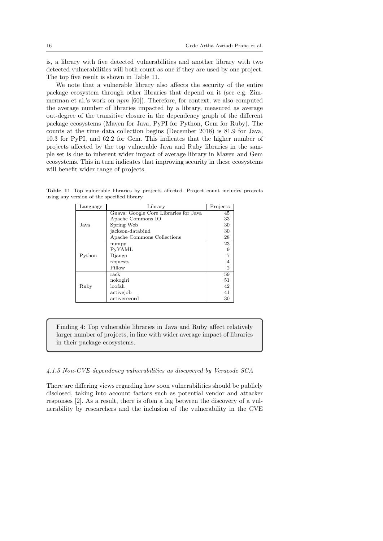is, a library with five detected vulnerabilities and another library with two detected vulnerabilities will both count as one if they are used by one project. The top five result is shown in Table 11.

We note that a vulnerable library also affects the security of the entire package ecosystem through other libraries that depend on it (see e.g. Zimmerman et al.'s work on npm [60]). Therefore, for context, we also computed the average number of libraries impacted by a library, measured as average out-degree of the transitive closure in the dependency graph of the different package ecosystems (Maven for Java, PyPI for Python, Gem for Ruby). The counts at the time data collection begins (December 2018) is 81.9 for Java, 10.3 for PyPI, and 62.2 for Gem. This indicates that the higher number of projects affected by the top vulnerable Java and Ruby libraries in the sample set is due to inherent wider impact of average library in Maven and Gem ecosystems. This in turn indicates that improving security in these ecosystems will benefit wider range of projects.

Table 11 Top vulnerable libraries by projects affected. Project count includes projects using any version of the specified library.

| Language | Library                               | Projects       |
|----------|---------------------------------------|----------------|
|          | Guava: Google Core Libraries for Java | 45             |
|          | Apache Commons IO                     | 33             |
| Java.    | Spring Web                            | 30             |
|          | jackson-databind                      | 30             |
|          | Apache Commons Collections            | 28             |
|          | numpy                                 | 23             |
|          | PyYAML                                | 9              |
| Python   | Django                                |                |
|          | requests                              |                |
|          | Pillow                                | $\overline{2}$ |
|          | rack                                  | 59             |
|          | nokogiri                              | 51             |
| Ruby     | loofah                                | 42             |
|          | activejob                             | 41             |
|          | activerecord                          | 30             |

Finding 4: Top vulnerable libraries in Java and Ruby affect relatively larger number of projects, in line with wider average impact of libraries in their package ecosystems.

### 4.1.5 Non-CVE dependency vulnerabilities as discovered by Veracode SCA

There are differing views regarding how soon vulnerabilities should be publicly disclosed, taking into account factors such as potential vendor and attacker responses [2]. As a result, there is often a lag between the discovery of a vulnerability by researchers and the inclusion of the vulnerability in the CVE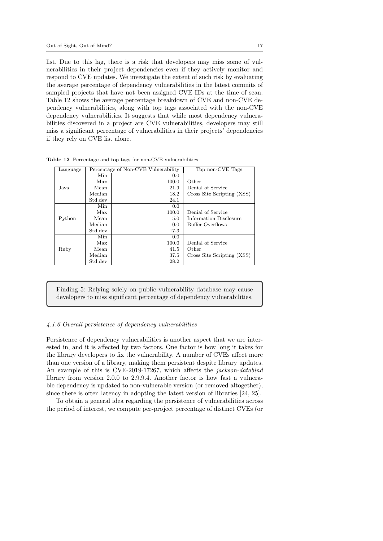list. Due to this lag, there is a risk that developers may miss some of vulnerabilities in their project dependencies even if they actively monitor and respond to CVE updates. We investigate the extent of such risk by evaluating the average percentage of dependency vulnerabilities in the latest commits of sampled projects that have not been assigned CVE IDs at the time of scan. Table 12 shows the average percentage breakdown of CVE and non-CVE dependency vulnerabilities, along with top tags associated with the non-CVE dependency vulnerabilities. It suggests that while most dependency vulnerabilities discovered in a project are CVE vulnerabilities, developers may still miss a significant percentage of vulnerabilities in their projects' dependencies if they rely on CVE list alone.

| Language |         | Percentage of Non-CVE Vulnerability | Top non-CVE Tags           |
|----------|---------|-------------------------------------|----------------------------|
|          | Min     | 0.0                                 |                            |
|          | Max     | 100.0                               | Other                      |
| Java.    | Mean    | 21.9                                | Denial of Service          |
|          | Median  | 18.2                                | Cross Site Scripting (XSS) |
|          | Std.dev | 24.1                                |                            |
|          | Min     | 0.0                                 |                            |
|          | Max     | 100.0                               | Denial of Service          |
| Python   | Mean    | 5.0                                 | Information Disclosure     |
|          | Median  | 0.0                                 | Buffer Overflows           |
|          | Std.dev | 17.3                                |                            |
|          | Min     | 0.0                                 |                            |
|          | Max     | 100.0                               | Denial of Service          |
| Ruby     | Mean    | 41.5                                | Other                      |
|          | Median  | 37.5                                | Cross Site Scripting (XSS) |
|          | Std.dev | 28.2                                |                            |

Table 12 Percentage and top tags for non-CVE vulnerabilities

Finding 5: Relying solely on public vulnerability database may cause developers to miss significant percentage of dependency vulnerabilities.

### 4.1.6 Overall persistence of dependency vulnerabilities

Persistence of dependency vulnerabilities is another aspect that we are interested in, and it is affected by two factors. One factor is how long it takes for the library developers to fix the vulnerability. A number of CVEs affect more than one version of a library, making them persistent despite library updates. An example of this is CVE-2019-17267, which affects the jackson-databind library from version 2.0.0 to 2.9.9.4. Another factor is how fast a vulnerable dependency is updated to non-vulnerable version (or removed altogether), since there is often latency in adopting the latest version of libraries [24, 25].

To obtain a general idea regarding the persistence of vulnerabilities across the period of interest, we compute per-project percentage of distinct CVEs (or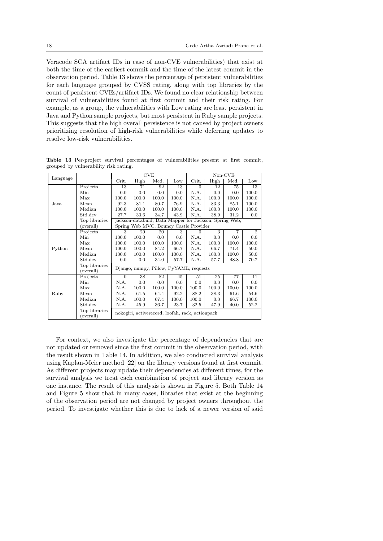Veracode SCA artifact IDs in case of non-CVE vulnerabilities) that exist at both the time of the earliest commit and the time of the latest commit in the observation period. Table 13 shows the percentage of persistent vulnerabilities for each language grouped by CVSS rating, along with top libraries by the count of persistent CVEs/artifact IDs. We found no clear relationship between survival of vulnerabilities found at first commit and their risk rating. For example, as a group, the vulnerabilities with Low rating are least persistent in Java and Python sample projects, but most persistent in Ruby sample projects. This suggests that the high overall persistence is not caused by project owners prioritizing resolution of high-risk vulnerabilities while deferring updates to resolve low-risk vulnerabilities.

|          |                            |          |       | <b>CVE</b> |                                                        |          |       | Non-CVE        |                |
|----------|----------------------------|----------|-------|------------|--------------------------------------------------------|----------|-------|----------------|----------------|
| Language |                            | Crit.    | High  | Med.       | Low                                                    | Crit.    | High  | Med.           | Low            |
|          | Projects                   | 13       | 71    | 92         | 13                                                     | $\Omega$ | 12    | 75             | 13             |
|          | Min                        | 0.0      | 0.0   | 0.0        | 0.0                                                    | N.A.     | 0.0   | 0.0            | 100.0          |
|          | Max                        | 100.0    | 100.0 | 100.0      | 100.0                                                  | N.A.     | 100.0 | 100.0          | 100.0          |
| Java     | Mean                       | 92.3     | 81.1  | 80.7       | 76.9                                                   | N.A.     | 83.3  | 85.1           | 100.0          |
|          | Median                     | 100.0    | 100.0 | 100.0      | 100.0                                                  | N.A.     | 100.0 | 100.0          | 100.0          |
|          | Std.dev                    | 27.7     | 33.6  | 34.7       | 43.9                                                   | N.A.     | 38.9  | 31.2           | 0.0            |
|          | Top libraries              |          |       |            | jackson-databind, Data Mapper for Jackson, Spring Web, |          |       |                |                |
|          | (overall)                  |          |       |            | Spring Web MVC, Bouncy Castle Provider                 |          |       |                |                |
|          | Projects                   | 3        | 29    | 20         | 3                                                      | $\Omega$ | 3     | $\overline{7}$ | $\overline{2}$ |
|          | Min                        | 100.0    | 100.0 | 0.0        | 0.0                                                    | N.A.     | 0.0   | 0.0            | 0.0            |
|          | Max                        | 100.0    | 100.0 | 100.0      | 100.0                                                  | N.A.     | 100.0 | 100.0          | 100.0          |
| Python   | Mean                       | 100.0    | 100.0 | 84.2       | 66.7                                                   | N.A.     | 66.7  | 71.4           | 50.0           |
|          | Median                     | 100.0    | 100.0 | 100.0      | 100.0                                                  | N.A.     | 100.0 | 100.0          | 50.0           |
|          | Std.dev                    | 0.0      | 0.0   | 34.0       | 57.7                                                   | N.A.     | 57.7  | 48.8           | 70.7           |
|          | Top libraries              |          |       |            | Django, numpy, Pillow, PyYAML, requests                |          |       |                |                |
|          | (overall)                  |          |       |            |                                                        |          |       |                |                |
|          | Projects                   | $\Omega$ | 38    | 82         | 45                                                     | 51       | 25    | 77             | 11             |
|          | Min                        | N.A.     | 0.0   | 0.0        | 0.0                                                    | 0.0      | 0.0   | 0.0            | 0.0            |
|          | Max                        | N.A.     | 100.0 | 100.0      | 100.0                                                  | 100.0    | 100.0 | 100.0          | 100.0          |
| Ruby     | Mean                       | N.A.     | 61.5  | 64.4       | 92.2                                                   | 88.2     | 38.3  | 61.6           | 54.6           |
|          | Median                     | N.A.     | 100.0 | 67.4       | 100.0                                                  | 100.0    | 0.0   | 66.7           | 100.0          |
|          | Std.dev                    | N.A.     | 45.9  | 36.7       | 23.7                                                   | 32.5     | 47.9  | 40.0           | 52.2           |
|          | Top libraries<br>(overall) |          |       |            | nokogiri, activerecord, loofah, rack, actionpack       |          |       |                |                |

Table 13 Per-project survival percentages of vulnerabilities present at first commit, grouped by vulnerability risk rating.

For context, we also investigate the percentage of dependencies that are not updated or removed since the first commit in the observation period, with the result shown in Table 14. In addition, we also conducted survival analysis using Kaplan-Meier method [22] on the library versions found at first commit. As different projects may update their dependencies at different times, for the survival analysis we treat each combination of project and library version as one instance. The result of this analysis is shown in Figure 5. Both Table 14 and Figure 5 show that in many cases, libraries that exist at the beginning of the observation period are not changed by project owners throughout the period. To investigate whether this is due to lack of a newer version of said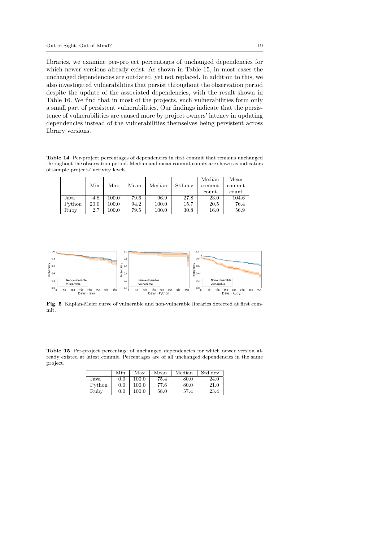libraries, we examine per-project percentages of unchanged dependencies for which newer versions already exist. As shown in Table 15, in most cases the unchanged dependencies are outdated, yet not replaced. In addition to this, we also investigated vulnerabilities that persist throughout the observation period despite the update of the associated dependencies, with the result shown in Table 16. We find that in most of the projects, such vulnerabilities form only a small part of persistent vulnerabilities. Our findings indicate that the persistence of vulnerabilities are caused more by project owners' latency in updating dependencies instead of the vulnerabilities themselves being persistent across library versions.

Table 14 Per-project percentages of dependencies in first commit that remains unchanged throughout the observation period. Median and mean commit counts are shown as indicators of sample projects' activity levels.

|        |      |       |      |        |         | Median | Mean   |
|--------|------|-------|------|--------|---------|--------|--------|
|        | Min  | Max   | Mean | Median | Std.dev | commit | commit |
|        |      |       |      |        |         | count  | count  |
| Java   | 4.8  | 100.0 | 79.6 | 96.9   | 27.8    | 23.0   | 104.6  |
| Python | 20.0 | 100.0 | 94.2 | 100.0  | 15.7    | 20.5   | 76.4   |
| Ruby   | 2.7  | 100.0 | 79.5 | 100.0  | 30.8    | 16.0   | 56.9   |



Fig. 5 Kaplan-Meier curve of vulnerable and non-vulnerable libraries detected at first commit.

Table 15 Per-project percentage of unchanged dependencies for which newer version already existed at latest commit. Percentages are of all unchanged dependencies in the same project.

|        | Min | Max   | Mean | Median | Std.dev |
|--------|-----|-------|------|--------|---------|
| Java   | 0.0 | 100.0 | 75.4 | 80.0   | 24.0    |
| Python | 0.0 | 100.0 | 77.6 | 80.0   | 21.0    |
| Rubv   | 0.0 | 100.0 | 58.0 | 57.4   | 23.4    |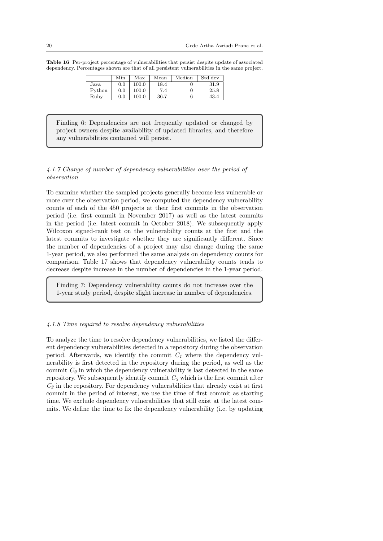Table 16 Per-project percentage of vulnerabilities that persist despite update of associated dependency. Percentages shown are that of all persistent vulnerabilities in the same project.

|        | Min | Max   | Mean | Median | Std.dev |
|--------|-----|-------|------|--------|---------|
| Java   | 0.0 | 100.0 | 18.4 |        | 31.9    |
| Python | 0.0 | 100.0 | 7.4  |        | 25.8    |
| Ruby   | 0.0 | 100.0 | 36.7 | 6      | 43.4    |

Finding 6: Dependencies are not frequently updated or changed by project owners despite availability of updated libraries, and therefore any vulnerabilities contained will persist.

# 4.1.7 Change of number of dependency vulnerabilities over the period of observation

To examine whether the sampled projects generally become less vulnerable or more over the observation period, we computed the dependency vulnerability counts of each of the 450 projects at their first commits in the observation period (i.e. first commit in November 2017) as well as the latest commits in the period (i.e. latest commit in October 2018). We subsequently apply Wilcoxon signed-rank test on the vulnerability counts at the first and the latest commits to investigate whether they are significantly different. Since the number of dependencies of a project may also change during the same 1-year period, we also performed the same analysis on dependency counts for comparison. Table 17 shows that dependency vulnerability counts tends to decrease despite increase in the number of dependencies in the 1-year period.

Finding 7: Dependency vulnerability counts do not increase over the 1-year study period, despite slight increase in number of dependencies.

#### 4.1.8 Time required to resolve dependency vulnerabilities

To analyze the time to resolve dependency vulnerabilities, we listed the different dependency vulnerabilities detected in a repository during the observation period. Afterwards, we identify the commit  $C<sub>1</sub>$  where the dependency vulnerability is first detected in the repository during the period, as well as the commit  $C_2$  in which the dependency vulnerability is last detected in the same repository. We subsequently identify commit  $C_3$  which is the first commit after  $C_2$  in the repository. For dependency vulnerabilities that already exist at first commit in the period of interest, we use the time of first commit as starting time. We exclude dependency vulnerabilities that still exist at the latest commits. We define the time to fix the dependency vulnerability (i.e. by updating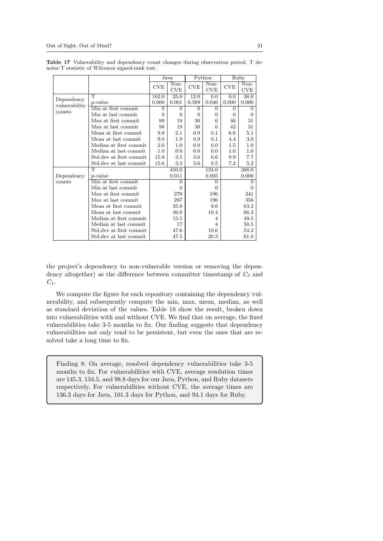|               |                         |          | Java               |                | Python             |          | Ruby                                     |
|---------------|-------------------------|----------|--------------------|----------------|--------------------|----------|------------------------------------------|
|               |                         | CVE      | Non-<br><b>CVE</b> | CVE            | Non-<br><b>CVE</b> | CVE      | $\overline{\text{Non}}$<br>$_{\rm{CVE}}$ |
|               | $\top$                  | 162.0    | 25.0               | 12.0           | 0.0                | 0.0      | 36.0                                     |
| Dependency    | p-value                 | 0.000    | 0.001              | 0.389          | 0.046              | 0.000    | 0.000                                    |
| vulnerability | Min at first commit     | $\Omega$ | 0                  | $\overline{0}$ | $\Omega$           | $\Omega$ | 0                                        |
| counts        | Min at last commit      | $\Omega$ | $\Omega$           | $\Omega$       | $\Omega$           | $\Omega$ | $\Omega$                                 |
|               | Max at first commit     | 99       | 19                 | 30             | 6                  | 46       | 31                                       |
|               | Max at last commit      | 98       | 19                 | 30             | 6                  | 42       | 31                                       |
|               | Mean at first commit    | 9.8      | 2.1                | 0.9            | 0.1                | 6.6      | 5.1                                      |
|               | Mean at last commit     | 9.0      | $1.9\,$            | 0.9            | 0.1                | 4.4      | $3.0\,$                                  |
|               | Median at first commit  | 2.0      | 1.0                | 0.0            | 0.0                | 1.5      | 1.0                                      |
|               | Median at last commit   | 1.0      | 0.0                | 0.0            | 0.0                | 1.0      | 1.0                                      |
|               | Std.dev at first commit | 15.8     | $3.5\,$            | $3.6\,$        | 0.6                | 9.9      | 7.7                                      |
|               | Std.dev at last commit  | $15.6\,$ | $3.3\,$            | $3.6\,$        | 0.5                | 7.2      | 5.2                                      |
|               | T                       |          | 450.0              |                | 124.0              |          | 388.0                                    |
| Dependency    | p-value                 |          | 0.011              |                | 0.005              |          | 0.000                                    |
| counts        | Min at first commit     |          | $\Omega$           |                | $\Omega$           |          | $\Omega$                                 |
|               | Min at last commit      |          | $\Omega$           |                | $\Omega$           |          | 0                                        |
|               | Max at first commit     |          | 270                |                | 196                |          | 241                                      |
|               | Max at last commit      |          | 287                |                | 196                |          | 356                                      |
|               | Mean at first commit    |          | 35.8               |                | 9.6                |          | 63.2                                     |
|               | Mean at last commit     |          | 36.0               |                | 10.4               |          | 66.2                                     |
|               | Median at first commit  |          | 15.5               |                | 4                  |          | 49.5                                     |
|               | Median at last commit   |          | 17                 |                | $\overline{4}$     |          | 50.5                                     |
|               | Std.dev at first commit |          | 47.6               |                | 19.6               |          | 54.2                                     |
|               | Std.dev at last commit  |          | 47.5               |                | 20.3               |          | 61.9                                     |

Table 17 Vulnerability and dependency count changes during observation period. T denotes T statistic of Wilcoxon signed-rank test.

the project's dependency to non-vulnerable version or removing the dependency altogether) as the difference between committer timestamp of  $C_3$  and  $C_1$ .

We compute the figure for each repository containing the dependency vulnerability, and subsequently compute the min, max, mean, median, as well as standard deviation of the values. Table 18 show the result, broken down into vulnerabilities with and without CVE. We find that on average, the fixed vulnerabilities take 3-5 months to fix. Our finding suggests that dependency vulnerabilities not only tend to be persistent, but even the ones that are resolved take a long time to fix.

Finding 8: On average, resolved dependency vulnerabilities take 3-5 months to fix. For vulnerabilities with CVE, average resolution times are 145.3, 134.5, and 98.8 days for our Java, Python, and Ruby datasets respectively. For vulnerabilities without CVE, the average times are 136.3 days for Java, 101.3 days for Python, and 94.1 days for Ruby.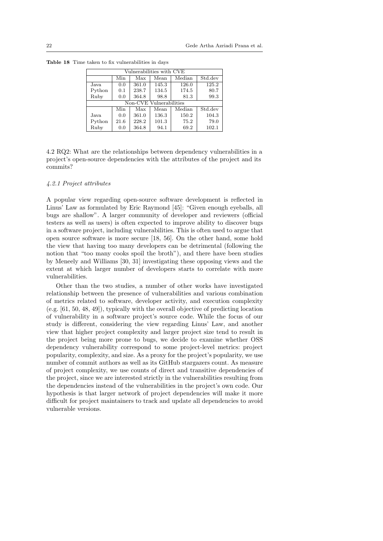| Vulnerabilities with CVE |      |       |                         |        |                              |  |  |  |
|--------------------------|------|-------|-------------------------|--------|------------------------------|--|--|--|
|                          | Min  | Max   | Mean                    | Median | Std.dev                      |  |  |  |
| Java                     | 0.0  | 361.0 | 145.3                   | 126.0  | 125.2                        |  |  |  |
| Python                   | 0.1  | 238.7 | 134.5                   | 174.5  | 80.7                         |  |  |  |
| Ruby                     | 0.0  | 364.8 | 98.8                    | 81.3   | 99.3                         |  |  |  |
|                          |      |       | Non-CVE Vulnerabilities |        |                              |  |  |  |
|                          | Min  | Max   | Mean                    | Median | $\overline{\text{Std}}$ .dev |  |  |  |
| Java                     | 0.0  | 361.0 | 136.3                   | 150.2  | 104.3                        |  |  |  |
| Python                   | 21.6 | 228.2 | 101.3                   | 75.2   | 79.0                         |  |  |  |
| Ruby                     | 0.0  | 364.8 | 94.1                    | 69.2   | 102.1                        |  |  |  |

Table 18 Time taken to fix vulnerabilities in days

4.2 RQ2: What are the relationships between dependency vulnerabilities in a project's open-source dependencies with the attributes of the project and its commits?

#### 4.2.1 Project attributes

A popular view regarding open-source software development is reflected in Linus' Law as formulated by Eric Raymond [45]: "Given enough eyeballs, all bugs are shallow". A larger community of developer and reviewers (official testers as well as users) is often expected to improve ability to discover bugs in a software project, including vulnerabilities. This is often used to argue that open source software is more secure [18, 56]. On the other hand, some hold the view that having too many developers can be detrimental (following the notion that "too many cooks spoil the broth"), and there have been studies by Meneely and Williams [30, 31] investigating these opposing views and the extent at which larger number of developers starts to correlate with more vulnerabilities.

Other than the two studies, a number of other works have investigated relationship between the presence of vulnerabilities and various combination of metrics related to software, developer activity, and execution complexity (e.g. [61, 50, 48, 49]), typically with the overall objective of predicting location of vulnerability in a software project's source code. While the focus of our study is different, considering the view regarding Linus' Law, and another view that higher project complexity and larger project size tend to result in the project being more prone to bugs, we decide to examine whether OSS dependency vulnerability correspond to some project-level metrics: project popularity, complexity, and size. As a proxy for the project's popularity, we use number of commit authors as well as its GitHub stargazers count. As measure of project complexity, we use counts of direct and transitive dependencies of the project, since we are interested strictly in the vulnerabilities resulting from the dependencies instead of the vulnerabilities in the project's own code. Our hypothesis is that larger network of project dependencies will make it more difficult for project maintainers to track and update all dependencies to avoid vulnerable versions.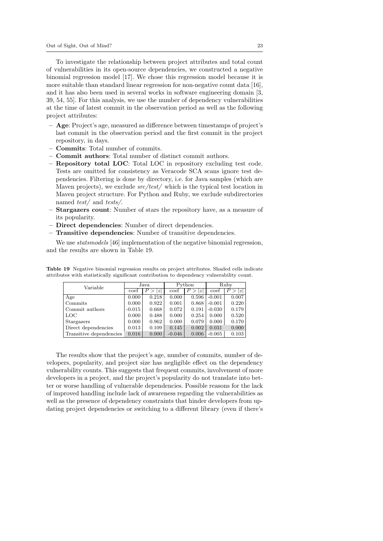To investigate the relationship between project attributes and total count of vulnerabilities in its open-source dependencies, we constructed a negative binomial regression model [17]. We chose this regression model because it is more suitable than standard linear regression for non-negative count data [16], and it has also been used in several works in software engineering domain [3, 39, 54, 55]. For this analysis, we use the number of dependency vulnerabilities at the time of latest commit in the observation period as well as the following project attributes:

- Age: Project's age, measured as difference between timestamps of project's last commit in the observation period and the first commit in the project repository, in days.
- Commits: Total number of commits.
- Commit authors: Total number of distinct commit authors.
- Repository total LOC: Total LOC in repository excluding test code. Tests are omitted for consistency as Veracode SCA scans ignore test dependencies. Filtering is done by directory, i.e. for Java samples (which are Maven projects), we exclude  $src/test/$  which is the typical test location in Maven project structure. For Python and Ruby, we exclude subdirectories named test/ and tests/.
- Stargazers count: Number of stars the repository have, as a measure of its popularity.
- Direct dependencies: Number of direct dependencies.
- Transitive dependencies: Number of transitive dependencies.

We use *statsmodels* [46] implementation of the negative binomial regression, and the results are shown in Table 19.

| Variable                | Java     |         |          | Python                             | Ruby     |       |
|-------------------------|----------|---------|----------|------------------------------------|----------|-------|
|                         | coef     | P<br> z | coef     | $P^{\, \cdot}$<br>$\boldsymbol{z}$ | coef     | 1zI   |
| Age                     | 0.000    | 0.218   | 0.000    | 0.596                              | $-0.001$ | 0.007 |
| Commits                 | 0.000    | 0.922   | 0.001    | 0.868                              | $-0.001$ | 0.220 |
| Commit authors          | $-0.015$ | 0.668   | 0.072    | 0.191                              | $-0.030$ | 0.179 |
| <b>LOC</b>              | 0.000    | 0.488   | 0.000    | 0.254                              | 0.000    | 0.520 |
| Stargazers              | 0.000    | 0.962   | 0.000    | 0.079                              | 0.000    | 0.170 |
| Direct dependencies     | 0.013    | 0.109   | 0.145    | 0.002                              | 0.031    | 0.000 |
| Transitive dependencies | 0.016    | 0.000   | $-0.046$ | 0.006                              | $-0.005$ | 0.103 |

Table 19 Negative binomial regression results on project attributes. Shaded cells indicate attributes with statistically significant contribution to dependency vulnerability count.

The results show that the project's age, number of commits, number of developers, popularity, and project size has negligible effect on the dependency vulnerability counts. This suggests that frequent commits, involvement of more developers in a project, and the project's popularity do not translate into better or worse handling of vulnerable dependencies. Possible reasons for the lack of improved handling include lack of awareness regarding the vulnerabilities as well as the presence of dependency constraints that hinder developers from updating project dependencies or switching to a different library (even if there's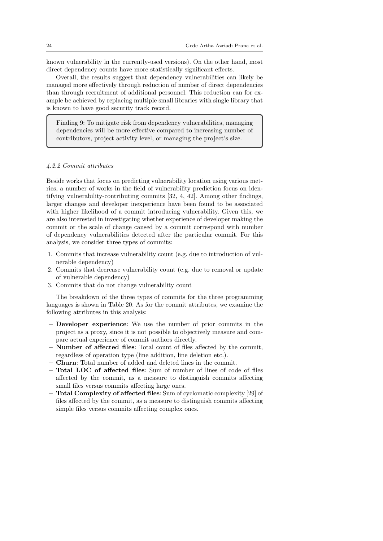known vulnerability in the currently-used versions). On the other hand, most direct dependency counts have more statistically significant effects.

Overall, the results suggest that dependency vulnerabilities can likely be managed more effectively through reduction of number of direct dependencies than through recruitment of additional personnel. This reduction can for example be achieved by replacing multiple small libraries with single library that is known to have good security track record.

Finding 9: To mitigate risk from dependency vulnerabilities, managing dependencies will be more effective compared to increasing number of contributors, project activity level, or managing the project's size.

# 4.2.2 Commit attributes

Beside works that focus on predicting vulnerability location using various metrics, a number of works in the field of vulnerability prediction focus on identifying vulnerability-contributing commits [32, 4, 42]. Among other findings, larger changes and developer inexperience have been found to be associated with higher likelihood of a commit introducing vulnerability. Given this, we are also interested in investigating whether experience of developer making the commit or the scale of change caused by a commit correspond with number of dependency vulnerabilities detected after the particular commit. For this analysis, we consider three types of commits:

- 1. Commits that increase vulnerability count (e.g. due to introduction of vulnerable dependency)
- 2. Commits that decrease vulnerability count (e.g. due to removal or update of vulnerable dependency)
- 3. Commits that do not change vulnerability count

The breakdown of the three types of commits for the three programming languages is shown in Table 20. As for the commit attributes, we examine the following attributes in this analysis:

- Developer experience: We use the number of prior commits in the project as a proxy, since it is not possible to objectively measure and compare actual experience of commit authors directly.
- Number of affected files: Total count of files affected by the commit, regardless of operation type (line addition, line deletion etc.).
- Churn: Total number of added and deleted lines in the commit.
- Total LOC of affected files: Sum of number of lines of code of files affected by the commit, as a measure to distinguish commits affecting small files versus commits affecting large ones.
- Total Complexity of affected files: Sum of cyclomatic complexity [29] of files affected by the commit, as a measure to distinguish commits affecting simple files versus commits affecting complex ones.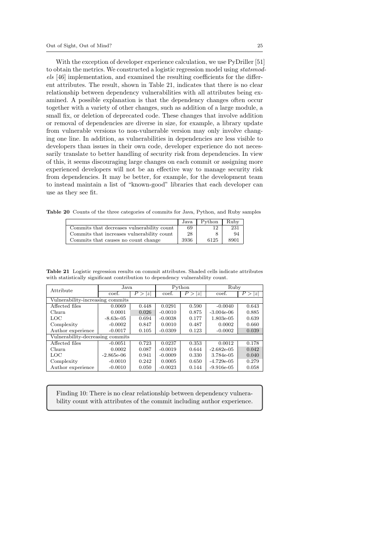With the exception of developer experience calculation, we use PyDriller [51] to obtain the metrics. We constructed a logistic regression model using statsmodels [46] implementation, and examined the resulting coefficients for the different attributes. The result, shown in Table 21, indicates that there is no clear relationship between dependency vulnerabilities with all attributes being examined. A possible explanation is that the dependency changes often occur together with a variety of other changes, such as addition of a large module, a small fix, or deletion of deprecated code. These changes that involve addition or removal of dependencies are diverse in size, for example, a library update from vulnerable versions to non-vulnerable version may only involve changing one line. In addition, as vulnerabilities in dependencies are less visible to developers than issues in their own code, developer experience do not necessarily translate to better handling of security risk from dependencies. In view of this, it seems discouraging large changes on each commit or assigning more experienced developers will not be an effective way to manage security risk from dependencies. It may be better, for example, for the development team to instead maintain a list of "known-good" libraries that each developer can use as they see fit.

Table 20 Counts of the three categories of commits for Java, Python, and Ruby samples

|                                            | Java | Python | Ruby |
|--------------------------------------------|------|--------|------|
| Commits that decreases vulnerability count | 69   |        | 231  |
| Commits that increases vulnerability count | 28   |        | 94   |
| Commits that causes no count change        | 3936 | 6125   | 8901 |

Table 21 Logistic regression results on commit attributes. Shaded cells indicate attributes with statistically significant contribution to dependency vulnerability count.

| Attribute                        | Java.        |                         |           | Python    | Ruby         |                       |  |
|----------------------------------|--------------|-------------------------|-----------|-----------|--------------|-----------------------|--|
|                                  | coef.        | P ><br>$\boldsymbol{z}$ | coef.     | P ><br>1z | coef.        | P ><br>$\overline{z}$ |  |
| Vulnerability-increasing commits |              |                         |           |           |              |                       |  |
| Affected files                   | 0.0069       | 0.448                   | 0.0291    | 0.590     | $-0.0040$    | 0.643                 |  |
| Churn                            | 0.0001       | 0.026                   | $-0.0010$ | 0.875     | $-3.004e-06$ | 0.885                 |  |
| LOC                              | $-8.63e-05$  | 0.694                   | $-0.0038$ | 0.177     | 1.803e-05    | 0.639                 |  |
| Complexity                       | $-0.0002$    | 0.847                   | 0.0010    | 0.487     | 0.0002       | 0.660                 |  |
| Author experience                | $-0.0017$    | 0.105                   | $-0.0309$ | 0.123     | $-0.0002$    | 0.039                 |  |
| Vulnerability-decreasing commits |              |                         |           |           |              |                       |  |
| Affected files                   | $-0.0051$    | 0.723                   | 0.0237    | 0.353     | 0.0012       | 0.178                 |  |
| Churn                            | 0.0002       | 0.087                   | $-0.0019$ | 0.644     | $-2.682e-05$ | 0.042                 |  |
| LOC                              | $-2.865e-06$ | 0.941                   | $-0.0009$ | 0.330     | 3.784e-05    | 0.040                 |  |
| Complexity                       | $-0.0010$    | 0.242                   | 0.0005    | 0.650     | $-4.729e-05$ | 0.279                 |  |
| Author experience                | $-0.0010$    | 0.050                   | $-0.0023$ | 0.144     | $-9.916e-05$ | 0.058                 |  |

Finding 10: There is no clear relationship between dependency vulnerability count with attributes of the commit including author experience.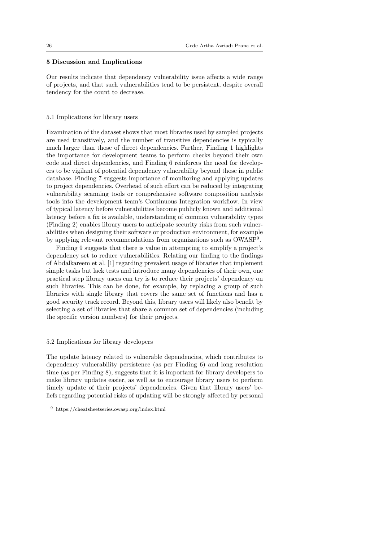# 5 Discussion and Implications

Our results indicate that dependency vulnerability issue affects a wide range of projects, and that such vulnerabilities tend to be persistent, despite overall tendency for the count to decrease.

### 5.1 Implications for library users

Examination of the dataset shows that most libraries used by sampled projects are used transitively, and the number of transitive dependencies is typically much larger than those of direct dependencies. Further, Finding 1 highlights the importance for development teams to perform checks beyond their own code and direct dependencies, and Finding 6 reinforces the need for developers to be vigilant of potential dependency vulnerability beyond those in public database. Finding 7 suggests importance of monitoring and applying updates to project dependencies. Overhead of such effort can be reduced by integrating vulnerability scanning tools or comprehensive software composition analysis tools into the development team's Continuous Integration workflow. In view of typical latency before vulnerabilities become publicly known and additional latency before a fix is available, understanding of common vulnerability types (Finding 2) enables library users to anticipate security risks from such vulnerabilities when designing their software or production environment, for example by applying relevant recommendations from organizations such as OWASP<sup>9</sup>.

Finding 9 suggests that there is value in attempting to simplify a project's dependency set to reduce vulnerabilities. Relating our finding to the findings of Abdalkareem et al. [1] regarding prevalent usage of libraries that implement simple tasks but lack tests and introduce many dependencies of their own, one practical step library users can try is to reduce their projects' dependency on such libraries. This can be done, for example, by replacing a group of such libraries with single library that covers the same set of functions and has a good security track record. Beyond this, library users will likely also benefit by selecting a set of libraries that share a common set of dependencies (including the specific version numbers) for their projects.

## 5.2 Implications for library developers

The update latency related to vulnerable dependencies, which contributes to dependency vulnerability persistence (as per Finding 6) and long resolution time (as per Finding 8), suggests that it is important for library developers to make library updates easier, as well as to encourage library users to perform timely update of their projects' dependencies. Given that library users' beliefs regarding potential risks of updating will be strongly affected by personal

 $^9\,$ https://cheatsheetseries.owasp.org/index.html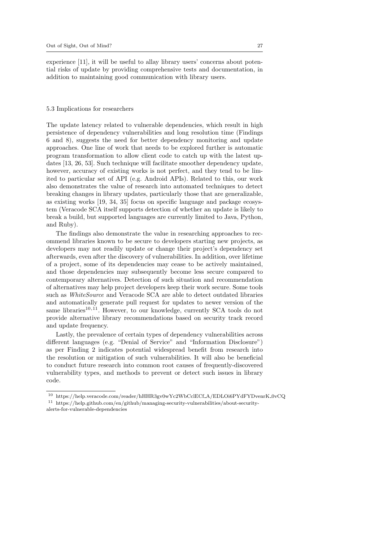experience [11], it will be useful to allay library users' concerns about potential risks of update by providing comprehensive tests and documentation, in addition to maintaining good communication with library users.

### 5.3 Implications for researchers

The update latency related to vulnerable dependencies, which result in high persistence of dependency vulnerabilities and long resolution time (Findings 6 and 8), suggests the need for better dependency monitoring and update approaches. One line of work that needs to be explored further is automatic program transformation to allow client code to catch up with the latest updates [13, 26, 53]. Such technique will facilitate smoother dependency update, however, accuracy of existing works is not perfect, and they tend to be limited to particular set of API (e.g. Android APIs). Related to this, our work also demonstrates the value of research into automated techniques to detect breaking changes in library updates, particularly those that are generalizable, as existing works [19, 34, 35] focus on specific language and package ecosystem (Veracode SCA itself supports detection of whether an update is likely to break a build, but supported languages are currently limited to Java, Python, and Ruby).

The findings also demonstrate the value in researching approaches to recommend libraries known to be secure to developers starting new projects, as developers may not readily update or change their project's dependency set afterwards, even after the discovery of vulnerabilities. In addition, over lifetime of a project, some of its dependencies may cease to be actively maintained, and those dependencies may subsequently become less secure compared to contemporary alternatives. Detection of such situation and recommendation of alternatives may help project developers keep their work secure. Some tools such as *WhiteSource* and Veracode SCA are able to detect outdated libraries and automatically generate pull request for updates to newer version of the same libraries<sup>10,11</sup>. However, to our knowledge, currently SCA tools do not provide alternative library recommendations based on security track record and update frequency.

Lastly, the prevalence of certain types of dependency vulnerabilities across different languages (e.g. "Denial of Service" and "Information Disclosure") as per Finding 2 indicates potential widespread benefit from research into the resolution or mitigation of such vulnerabilities. It will also be beneficial to conduct future research into common root causes of frequently-discovered vulnerability types, and methods to prevent or detect such issues in library code.

 $^{10}\,$ https://help.veracode.com/reader/hHHR3gv0wYc2WbCclECf\_A/EDLOi6PYdFYDvenrK\_0vCQ  $^{11}\,$ https://help.github.com/en/github/managing-security-vulnerabilities/about-security-

alerts-for-vulnerable-dependencies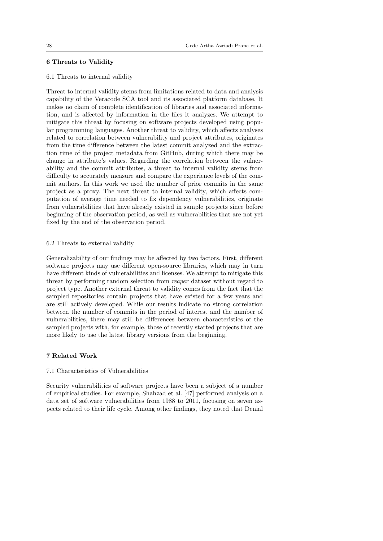# 6 Threats to Validity

#### 6.1 Threats to internal validity

Threat to internal validity stems from limitations related to data and analysis capability of the Veracode SCA tool and its associated platform database. It makes no claim of complete identification of libraries and associated information, and is affected by information in the files it analyzes. We attempt to mitigate this threat by focusing on software projects developed using popular programming languages. Another threat to validity, which affects analyses related to correlation between vulnerability and project attributes, originates from the time difference between the latest commit analyzed and the extraction time of the project metadata from GitHub, during which there may be change in attribute's values. Regarding the correlation between the vulnerability and the commit attributes, a threat to internal validity stems from difficulty to accurately measure and compare the experience levels of the commit authors. In this work we used the number of prior commits in the same project as a proxy. The next threat to internal validity, which affects computation of average time needed to fix dependency vulnerabilities, originate from vulnerabilities that have already existed in sample projects since before beginning of the observation period, as well as vulnerabilities that are not yet fixed by the end of the observation period.

### 6.2 Threats to external validity

Generalizability of our findings may be affected by two factors. First, different software projects may use different open-source libraries, which may in turn have different kinds of vulnerabilities and licenses. We attempt to mitigate this threat by performing random selection from reaper dataset without regard to project type. Another external threat to validity comes from the fact that the sampled repositories contain projects that have existed for a few years and are still actively developed. While our results indicate no strong correlation between the number of commits in the period of interest and the number of vulnerabilities, there may still be differences between characteristics of the sampled projects with, for example, those of recently started projects that are more likely to use the latest library versions from the beginning.

# 7 Related Work

### 7.1 Characteristics of Vulnerabilities

Security vulnerabilities of software projects have been a subject of a number of empirical studies. For example, Shahzad et al. [47] performed analysis on a data set of software vulnerabilities from 1988 to 2011, focusing on seven aspects related to their life cycle. Among other findings, they noted that Denial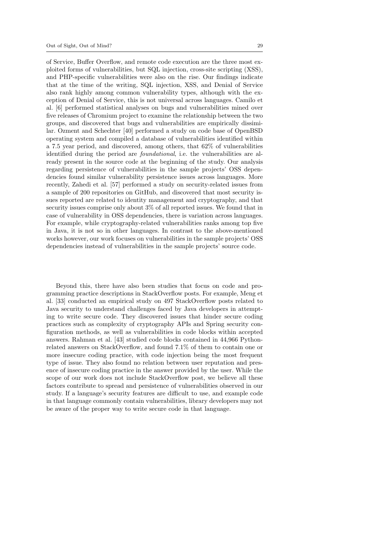of Service, Buffer Overflow, and remote code execution are the three most exploited forms of vulnerabilities, but SQL injection, cross-site scripting (XSS), and PHP-specific vulnerabilities were also on the rise. Our findings indicate that at the time of the writing, SQL injection, XSS, and Denial of Service also rank highly among common vulnerability types, although with the exception of Denial of Service, this is not universal across languages. Camilo et al. [6] performed statistical analyses on bugs and vulnerabilities mined over five releases of Chromium project to examine the relationship between the two groups, and discovered that bugs and vulnerabilities are empirically dissimilar. Ozment and Schechter [40] performed a study on code base of OpenBSD operating system and compiled a database of vulnerabilities identified within a 7.5 year period, and discovered, among others, that 62% of vulnerabilities identified during the period are foundational, i.e. the vulnerabilities are already present in the source code at the beginning of the study. Our analysis regarding persistence of vulnerabilities in the sample projects' OSS dependencies found similar vulnerability persistence issues across languages. More recently, Zahedi et al. [57] performed a study on security-related issues from a sample of 200 repositories on GitHub, and discovered that most security issues reported are related to identity management and cryptography, and that security issues comprise only about 3% of all reported issues. We found that in case of vulnerability in OSS dependencies, there is variation across languages. For example, while cryptography-related vulnerabilities ranks among top five in Java, it is not so in other languages. In contrast to the above-mentioned works however, our work focuses on vulnerabilities in the sample projects' OSS dependencies instead of vulnerabilities in the sample projects' source code.

Beyond this, there have also been studies that focus on code and programming practice descriptions in StackOverflow posts. For example, Meng et al. [33] conducted an empirical study on 497 StackOverflow posts related to Java security to understand challenges faced by Java developers in attempting to write secure code. They discovered issues that hinder secure coding practices such as complexity of cryptography APIs and Spring security configuration methods, as well as vulnerabilities in code blocks within accepted answers. Rahman et al. [43] studied code blocks contained in 44,966 Pythonrelated answers on StackOverflow, and found 7.1% of them to contain one or more insecure coding practice, with code injection being the most frequent type of issue. They also found no relation between user reputation and presence of insecure coding practice in the answer provided by the user. While the scope of our work does not include StackOverflow post, we believe all these factors contribute to spread and persistence of vulnerabilities observed in our study. If a language's security features are difficult to use, and example code in that language commonly contain vulnerabilities, library developers may not be aware of the proper way to write secure code in that language.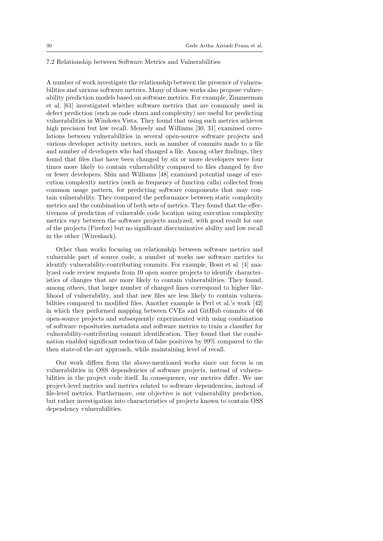### 7.2 Relationship between Software Metrics and Vulnerabilities

A number of work investigate the relationship between the presence of vulnerabilities and various software metrics. Many of those works also propose vulnerability prediction models based on software metrics. For example, Zimmerman et al. [61] investigated whether software metrics that are commonly used in defect prediction (such as code churn and complexity) are useful for predicting vulnerabilities in Windows Vista. They found that using such metrics achieves high precision but low recall. Meneely and Williams [30, 31] examined correlations between vulnerabilities in several open-source software projects and various developer activity metrics, such as number of commits made to a file and number of developers who had changed a file. Among other findings, they found that files that have been changed by six or more developers were four times more likely to contain vulnerability compared to files changed by five or fewer developers. Shin and Williams [48] examined potential usage of execution complexity metrics (such as frequency of function calls) collected from common usage pattern, for predicting software components that may contain vulnerability. They compared the performance between static complexity metrics and the combination of both sets of metrics. They found that the effectiveness of prediction of vulnerable code location using execution complexity metrics vary between the software projects analyzed, with good result for one of the projects (Firefox) but no significant discriminative ability and low recall in the other (Wireshark).

Other than works focusing on relationship between software metrics and vulnerable part of source code, a number of works use software metrics to identify vulnerability-contributing commits. For example, Bosu et al. [4] analyzed code review requests from 10 open source projects to identify characteristics of changes that are more likely to contain vulnerabilities. They found, among others, that larger number of changed lines correspond to higher likelihood of vulnerability, and that new files are less likely to contain vulnerabilities compared to modified files. Another example is Perl et al.'s work [42] in which they performed mapping between CVEs and GitHub commits of 66 open-source projects and subsequently experimented with using combination of software repositories metadata and software metrics to train a classifier for vulnerability-contributing commit identification. They found that the combination enabled significant reduction of false positives by 99% compared to the then state-of-the-art approach, while maintaining level of recall.

Our work differs from the above-mentioned works since our focus is on vulnerabilities in OSS dependencies of software projects, instead of vulnerabilities in the project code itself. In consequence, our metrics differ. We use project-level metrics and metrics related to software dependencies, instead of file-level metrics. Furthermore, our objective is not vulnerability prediction, but rather investigation into characteristics of projects known to contain OSS dependency vulnerabilities.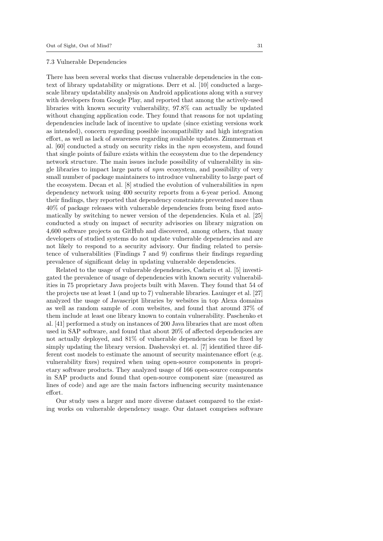#### 7.3 Vulnerable Dependencies

There has been several works that discuss vulnerable dependencies in the context of library updatability or migrations. Derr et al. [10] conducted a largescale library updatability analysis on Android applications along with a survey with developers from Google Play, and reported that among the actively-used libraries with known security vulnerability, 97.8% can actually be updated without changing application code. They found that reasons for not updating dependencies include lack of incentive to update (since existing versions work as intended), concern regarding possible incompatibility and high integration effort, as well as lack of awareness regarding available updates. Zimmerman et al. [60] conducted a study on security risks in the npm ecosystem, and found that single points of failure exists within the ecosystem due to the dependency network structure. The main issues include possibility of vulnerability in single libraries to impact large parts of npm ecosystem, and possibility of very small number of package maintainers to introduce vulnerability to large part of the ecosystem. Decan et al. [8] studied the evolution of vulnerabilities in npm dependency network using 400 security reports from a 6-year period. Among their findings, they reported that dependency constraints prevented more than 40% of package releases with vulnerable dependencies from being fixed automatically by switching to newer version of the dependencies. Kula et al. [25] conducted a study on impact of security advisories on library migration on 4,600 software projects on GitHub and discovered, among others, that many developers of studied systems do not update vulnerable dependencies and are not likely to respond to a security advisory. Our finding related to persistence of vulnerabilities (Findings 7 and 9) confirms their findings regarding prevalence of significant delay in updating vulnerable dependencies.

Related to the usage of vulnerable dependencies, Cadariu et al. [5] investigated the prevalence of usage of dependencies with known security vulnerabilities in 75 proprietary Java projects built with Maven. They found that 54 of the projects use at least 1 (and up to 7) vulnerable libraries. Lauinger et al. [27] analyzed the usage of Javascript libraries by websites in top Alexa domains as well as random sample of .com websites, and found that around 37% of them include at least one library known to contain vulnerability. Paschenko et al. [41] performed a study on instances of 200 Java libraries that are most often used in SAP software, and found that about 20% of affected dependencies are not actually deployed, and 81% of vulnerable dependencies can be fixed by simply updating the library version. Dashevskyi et. al. [7] identified three different cost models to estimate the amount of security maintenance effort (e.g. vulnerability fixes) required when using open-source components in proprietary software products. They analyzed usage of 166 open-source components in SAP products and found that open-source component size (measured as lines of code) and age are the main factors influencing security maintenance effort.

Our study uses a larger and more diverse dataset compared to the existing works on vulnerable dependency usage. Our dataset comprises software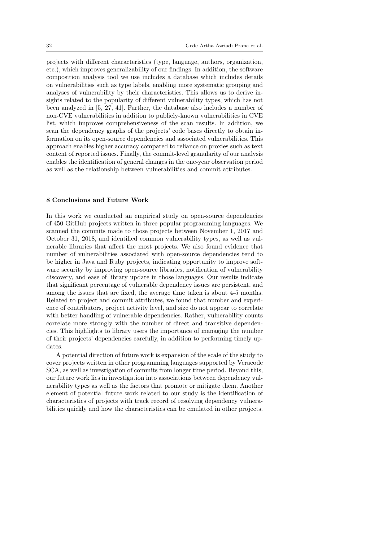projects with different characteristics (type, language, authors, organization, etc.), which improves generalizability of our findings. In addition, the software composition analysis tool we use includes a database which includes details on vulnerabilities such as type labels, enabling more systematic grouping and analyses of vulnerability by their characteristics. This allows us to derive insights related to the popularity of different vulnerability types, which has not been analyzed in [5, 27, 41]. Further, the database also includes a number of non-CVE vulnerabilities in addition to publicly-known vulnerabilities in CVE list, which improves comprehensiveness of the scan results. In addition, we scan the dependency graphs of the projects' code bases directly to obtain information on its open-source dependencies and associated vulnerabilities. This approach enables higher accuracy compared to reliance on proxies such as text content of reported issues. Finally, the commit-level granularity of our analysis enables the identification of general changes in the one-year observation period as well as the relationship between vulnerabilities and commit attributes.

### 8 Conclusions and Future Work

In this work we conducted an empirical study on open-source dependencies of 450 GitHub projects written in three popular programming languages. We scanned the commits made to those projects between November 1, 2017 and October 31, 2018, and identified common vulnerability types, as well as vulnerable libraries that affect the most projects. We also found evidence that number of vulnerabilities associated with open-source dependencies tend to be higher in Java and Ruby projects, indicating opportunity to improve software security by improving open-source libraries, notification of vulnerability discovery, and ease of library update in those languages. Our results indicate that significant percentage of vulnerable dependency issues are persistent, and among the issues that are fixed, the average time taken is about 4-5 months. Related to project and commit attributes, we found that number and experience of contributors, project activity level, and size do not appear to correlate with better handling of vulnerable dependencies. Rather, vulnerability counts correlate more strongly with the number of direct and transitive dependencies. This highlights to library users the importance of managing the number of their projects' dependencies carefully, in addition to performing timely updates.

A potential direction of future work is expansion of the scale of the study to cover projects written in other programming languages supported by Veracode SCA, as well as investigation of commits from longer time period. Beyond this, our future work lies in investigation into associations between dependency vulnerability types as well as the factors that promote or mitigate them. Another element of potential future work related to our study is the identification of characteristics of projects with track record of resolving dependency vulnerabilities quickly and how the characteristics can be emulated in other projects.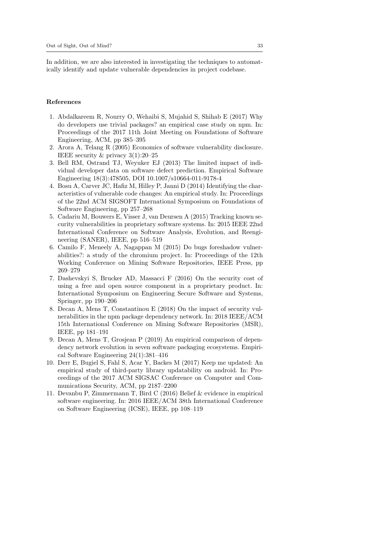In addition, we are also interested in investigating the techniques to automatically identify and update vulnerable dependencies in project codebase.

### References

- 1. Abdalkareem R, Nourry O, Wehaibi S, Mujahid S, Shihab E (2017) Why do developers use trivial packages? an empirical case study on npm. In: Proceedings of the 2017 11th Joint Meeting on Foundations of Software Engineering, ACM, pp 385–395
- 2. Arora A, Telang R (2005) Economics of software vulnerability disclosure. IEEE security & privacy 3(1):20–25
- 3. Bell RM, Ostrand TJ, Weyuker EJ (2013) The limited impact of individual developer data on software defect prediction. Empirical Software Engineering 18(3):478505, DOI 10.1007/s10664-011-9178-4
- 4. Bosu A, Carver JC, Hafiz M, Hilley P, Janni D (2014) Identifying the characteristics of vulnerable code changes: An empirical study. In: Proceedings of the 22nd ACM SIGSOFT International Symposium on Foundations of Software Engineering, pp 257–268
- 5. Cadariu M, Bouwers E, Visser J, van Deursen A (2015) Tracking known security vulnerabilities in proprietary software systems. In: 2015 IEEE 22nd International Conference on Software Analysis, Evolution, and Reengineering (SANER), IEEE, pp 516–519
- 6. Camilo F, Meneely A, Nagappan M (2015) Do bugs foreshadow vulnerabilities?: a study of the chromium project. In: Proceedings of the 12th Working Conference on Mining Software Repositories, IEEE Press, pp 269–279
- 7. Dashevskyi S, Brucker AD, Massacci F (2016) On the security cost of using a free and open source component in a proprietary product. In: International Symposium on Engineering Secure Software and Systems, Springer, pp 190–206
- 8. Decan A, Mens T, Constantinou E (2018) On the impact of security vulnerabilities in the npm package dependency network. In: 2018 IEEE/ACM 15th International Conference on Mining Software Repositories (MSR), IEEE, pp 181–191
- 9. Decan A, Mens T, Grosjean P (2019) An empirical comparison of dependency network evolution in seven software packaging ecosystems. Empirical Software Engineering 24(1):381–416
- 10. Derr E, Bugiel S, Fahl S, Acar Y, Backes M (2017) Keep me updated: An empirical study of third-party library updatability on android. In: Proceedings of the 2017 ACM SIGSAC Conference on Computer and Communications Security, ACM, pp 2187–2200
- 11. Devanbu P, Zimmermann T, Bird C (2016) Belief & evidence in empirical software engineering. In: 2016 IEEE/ACM 38th International Conference on Software Engineering (ICSE), IEEE, pp 108–119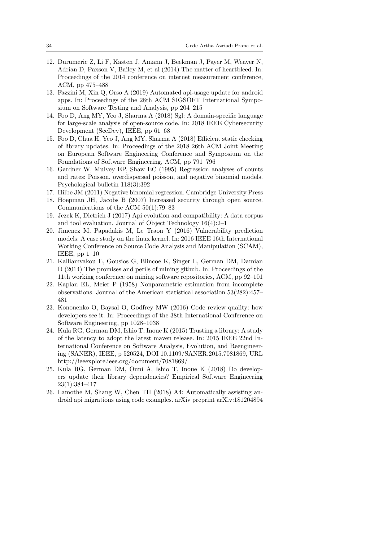- 12. Durumeric Z, Li F, Kasten J, Amann J, Beekman J, Payer M, Weaver N, Adrian D, Paxson V, Bailey M, et al (2014) The matter of heartbleed. In: Proceedings of the 2014 conference on internet measurement conference, ACM, pp 475–488
- 13. Fazzini M, Xin Q, Orso A (2019) Automated api-usage update for android apps. In: Proceedings of the 28th ACM SIGSOFT International Symposium on Software Testing and Analysis, pp 204–215
- 14. Foo D, Ang MY, Yeo J, Sharma A (2018) Sgl: A domain-specific language for large-scale analysis of open-source code. In: 2018 IEEE Cybersecurity Development (SecDev), IEEE, pp 61–68
- 15. Foo D, Chua H, Yeo J, Ang MY, Sharma A (2018) Efficient static checking of library updates. In: Proceedings of the 2018 26th ACM Joint Meeting on European Software Engineering Conference and Symposium on the Foundations of Software Engineering, ACM, pp 791–796
- 16. Gardner W, Mulvey EP, Shaw EC (1995) Regression analyses of counts and rates: Poisson, overdispersed poisson, and negative binomial models. Psychological bulletin 118(3):392
- 17. Hilbe JM (2011) Negative binomial regression. Cambridge University Press
- 18. Hoepman JH, Jacobs B (2007) Increased security through open source. Communications of the ACM 50(1):79–83
- 19. Jezek K, Dietrich J (2017) Api evolution and compatibility: A data corpus and tool evaluation. Journal of Object Technology 16(4):2–1
- 20. Jimenez M, Papadakis M, Le Traon Y (2016) Vulnerability prediction models: A case study on the linux kernel. In: 2016 IEEE 16th International Working Conference on Source Code Analysis and Manipulation (SCAM), IEEE, pp 1–10
- 21. Kalliamvakou E, Gousios G, Blincoe K, Singer L, German DM, Damian D (2014) The promises and perils of mining github. In: Proceedings of the 11th working conference on mining software repositories, ACM, pp 92–101
- 22. Kaplan EL, Meier P (1958) Nonparametric estimation from incomplete observations. Journal of the American statistical association 53(282):457– 481
- 23. Kononenko O, Baysal O, Godfrey MW (2016) Code review quality: how developers see it. In: Proceedings of the 38th International Conference on Software Engineering, pp 1028–1038
- 24. Kula RG, German DM, Ishio T, Inoue K (2015) Trusting a library: A study of the latency to adopt the latest maven release. In: 2015 IEEE 22nd International Conference on Software Analysis, Evolution, and Reengineering (SANER), IEEE, p 520524, DOI 10.1109/SANER.2015.7081869, URL http://ieeexplore.ieee.org/document/7081869/
- 25. Kula RG, German DM, Ouni A, Ishio T, Inoue K (2018) Do developers update their library dependencies? Empirical Software Engineering 23(1):384–417
- 26. Lamothe M, Shang W, Chen TH (2018) A4: Automatically assisting android api migrations using code examples. arXiv preprint arXiv:181204894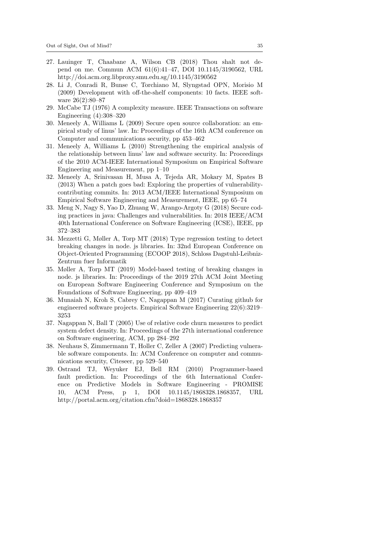- 27. Lauinger T, Chaabane A, Wilson CB (2018) Thou shalt not depend on me. Commun ACM 61(6):41–47, DOI 10.1145/3190562, URL http://doi.acm.org.libproxy.smu.edu.sg/10.1145/3190562
- 28. Li J, Conradi R, Bunse C, Torchiano M, Slyngstad OPN, Morisio M (2009) Development with off-the-shelf components: 10 facts. IEEE software 26(2):80–87
- 29. McCabe TJ (1976) A complexity measure. IEEE Transactions on software Engineering (4):308–320
- 30. Meneely A, Williams L (2009) Secure open source collaboration: an empirical study of linus' law. In: Proceedings of the 16th ACM conference on Computer and communications security, pp 453–462
- 31. Meneely A, Williams L (2010) Strengthening the empirical analysis of the relationship between linus' law and software security. In: Proceedings of the 2010 ACM-IEEE International Symposium on Empirical Software Engineering and Measurement, pp 1–10
- 32. Meneely A, Srinivasan H, Musa A, Tejeda AR, Mokary M, Spates B (2013) When a patch goes bad: Exploring the properties of vulnerabilitycontributing commits. In: 2013 ACM/IEEE International Symposium on Empirical Software Engineering and Measurement, IEEE, pp 65–74
- 33. Meng N, Nagy S, Yao D, Zhuang W, Arango-Argoty G (2018) Secure coding practices in java: Challenges and vulnerabilities. In: 2018 IEEE/ACM 40th International Conference on Software Engineering (ICSE), IEEE, pp 372–383
- 34. Mezzetti G, Møller A, Torp MT (2018) Type regression testing to detect breaking changes in node. js libraries. In: 32nd European Conference on Object-Oriented Programming (ECOOP 2018), Schloss Dagstuhl-Leibniz-Zentrum fuer Informatik
- 35. Møller A, Torp MT (2019) Model-based testing of breaking changes in node. js libraries. In: Proceedings of the 2019 27th ACM Joint Meeting on European Software Engineering Conference and Symposium on the Foundations of Software Engineering, pp 409–419
- 36. Munaiah N, Kroh S, Cabrey C, Nagappan M (2017) Curating github for engineered software projects. Empirical Software Engineering 22(6):3219– 3253
- 37. Nagappan N, Ball T (2005) Use of relative code churn measures to predict system defect density. In: Proceedings of the 27th international conference on Software engineering, ACM, pp 284–292
- 38. Neuhaus S, Zimmermann T, Holler C, Zeller A (2007) Predicting vulnerable software components. In: ACM Conference on computer and communications security, Citeseer, pp 529–540
- 39. Ostrand TJ, Weyuker EJ, Bell RM (2010) Programmer-based fault prediction. In: Proceedings of the 6th International Conference on Predictive Models in Software Engineering - PROMISE 10, ACM Press, p 1, DOI 10.1145/1868328.1868357, URL http://portal.acm.org/citation.cfm?doid=1868328.1868357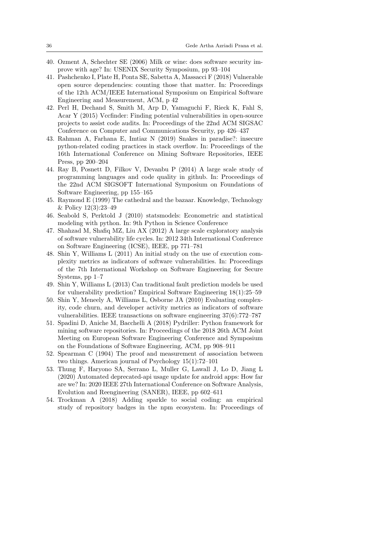- 40. Ozment A, Schechter SE (2006) Milk or wine: does software security improve with age? In: USENIX Security Symposium, pp 93–104
- 41. Pashchenko I, Plate H, Ponta SE, Sabetta A, Massacci F (2018) Vulnerable open source dependencies: counting those that matter. In: Proceedings of the 12th ACM/IEEE International Symposium on Empirical Software Engineering and Measurement, ACM, p 42
- 42. Perl H, Dechand S, Smith M, Arp D, Yamaguchi F, Rieck K, Fahl S, Acar Y (2015) Vccfinder: Finding potential vulnerabilities in open-source projects to assist code audits. In: Proceedings of the 22nd ACM SIGSAC Conference on Computer and Communications Security, pp 426–437
- 43. Rahman A, Farhana E, Imtiaz N (2019) Snakes in paradise?: insecure python-related coding practices in stack overflow. In: Proceedings of the 16th International Conference on Mining Software Repositories, IEEE Press, pp 200–204
- 44. Ray B, Posnett D, Filkov V, Devanbu P (2014) A large scale study of programming languages and code quality in github. In: Proceedings of the 22nd ACM SIGSOFT International Symposium on Foundations of Software Engineering, pp 155–165
- 45. Raymond E (1999) The cathedral and the bazaar. Knowledge, Technology & Policy 12(3):23–49
- 46. Seabold S, Perktold J (2010) statsmodels: Econometric and statistical modeling with python. In: 9th Python in Science Conference
- 47. Shahzad M, Shafiq MZ, Liu AX (2012) A large scale exploratory analysis of software vulnerability life cycles. In: 2012 34th International Conference on Software Engineering (ICSE), IEEE, pp 771–781
- 48. Shin Y, Williams L (2011) An initial study on the use of execution complexity metrics as indicators of software vulnerabilities. In: Proceedings of the 7th International Workshop on Software Engineering for Secure Systems, pp 1–7
- 49. Shin Y, Williams L (2013) Can traditional fault prediction models be used for vulnerability prediction? Empirical Software Engineering 18(1):25–59
- 50. Shin Y, Meneely A, Williams L, Osborne JA (2010) Evaluating complexity, code churn, and developer activity metrics as indicators of software vulnerabilities. IEEE transactions on software engineering 37(6):772–787
- 51. Spadini D, Aniche M, Bacchelli A (2018) Pydriller: Python framework for mining software repositories. In: Proceedings of the 2018 26th ACM Joint Meeting on European Software Engineering Conference and Symposium on the Foundations of Software Engineering, ACM, pp 908–911
- 52. Spearman C (1904) The proof and measurement of association between two things. American journal of Psychology 15(1):72–101
- 53. Thung F, Haryono SA, Serrano L, Muller G, Lawall J, Lo D, Jiang L (2020) Automated deprecated-api usage update for android apps: How far are we? In: 2020 IEEE 27th International Conference on Software Analysis, Evolution and Reengineering (SANER), IEEE, pp 602–611
- 54. Trockman A (2018) Adding sparkle to social coding: an empirical study of repository badges in the npm ecosystem. In: Proceedings of